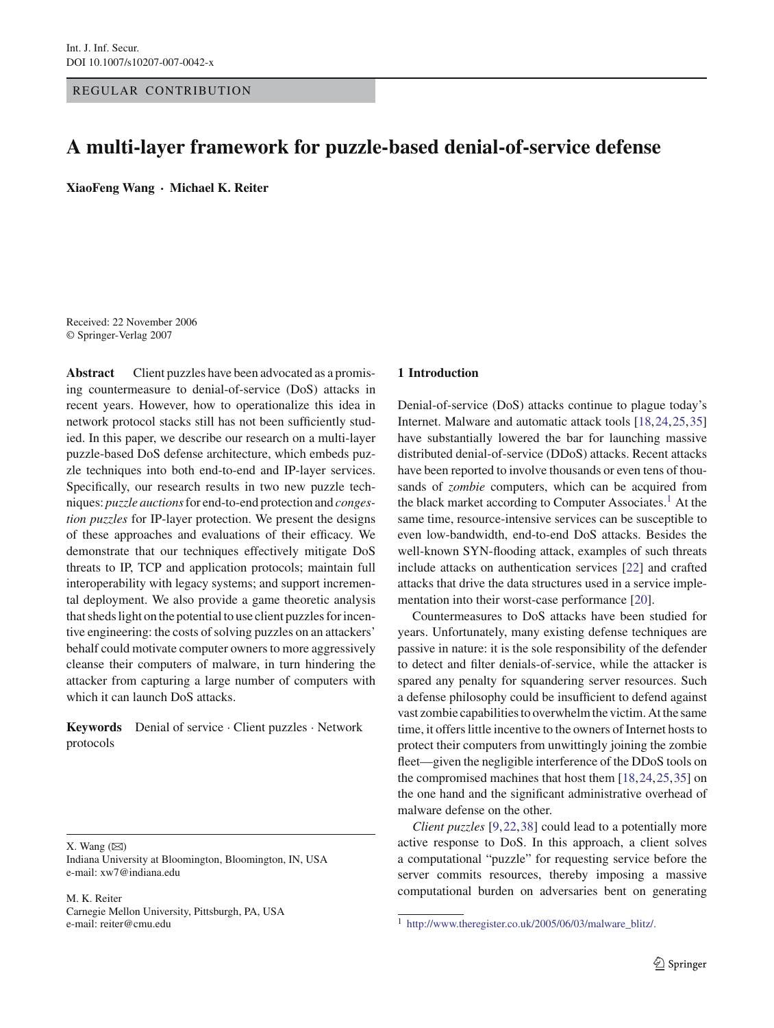# REGULAR CONTRIBUTION

# **A multi-layer framework for puzzle-based denial-of-service defense**

**XiaoFeng Wang · Michael K. Reiter**

Received: 22 November 2006 © Springer-Verlag 2007

**Abstract** Client puzzles have been advocated as a promising countermeasure to denial-of-service (DoS) attacks in recent years. However, how to operationalize this idea in network protocol stacks still has not been sufficiently studied. In this paper, we describe our research on a multi-layer puzzle-based DoS defense architecture, which embeds puzzle techniques into both end-to-end and IP-layer services. Specifically, our research results in two new puzzle techniques: *puzzle auctions*for end-to-end protection and *congestion puzzles* for IP-layer protection. We present the designs of these approaches and evaluations of their efficacy. We demonstrate that our techniques effectively mitigate DoS threats to IP, TCP and application protocols; maintain full interoperability with legacy systems; and support incremental deployment. We also provide a game theoretic analysis that sheds light on the potential to use client puzzles for incentive engineering: the costs of solving puzzles on an attackers' behalf could motivate computer owners to more aggressively cleanse their computers of malware, in turn hindering the attacker from capturing a large number of computers with which it can launch DoS attacks.

**Keywords** Denial of service · Client puzzles · Network protocols

X. Wang  $(\boxtimes)$ 

Indiana University at Bloomington, Bloomington, IN, USA e-mail: xw7@indiana.edu

M. K. Reiter Carnegie Mellon University, Pittsburgh, PA, USA e-mail: reiter@cmu.edu

### **1 Introduction**

Denial-of-service (DoS) attacks continue to plague today's Internet. Malware and automatic attack tools [\[18](#page-18-0),[24](#page-18-1),[25,](#page-18-2)[35\]](#page-19-0) have substantially lowered the bar for launching massive distributed denial-of-service (DDoS) attacks. Recent attacks have been reported to involve thousands or even tens of thousands of *zombie* computers, which can be acquired from the black market according to Computer Associates.<sup>1</sup> At the same time, resource-intensive services can be susceptible to even low-bandwidth, end-to-end DoS attacks. Besides the well-known SYN-flooding attack, examples of such threats include attacks on authentication services [\[22](#page-18-3)] and crafted attacks that drive the data structures used in a service implementation into their worst-case performance [\[20](#page-18-4)].

Countermeasures to DoS attacks have been studied for years. Unfortunately, many existing defense techniques are passive in nature: it is the sole responsibility of the defender to detect and filter denials-of-service, while the attacker is spared any penalty for squandering server resources. Such a defense philosophy could be insufficient to defend against vast zombie capabilities to overwhelm the victim. At the same time, it offers little incentive to the owners of Internet hosts to protect their computers from unwittingly joining the zombie fleet—given the negligible interference of the DDoS tools on the compromised machines that host them [\[18](#page-18-0)[,24](#page-18-1)[,25](#page-18-2),[35\]](#page-19-0) on the one hand and the significant administrative overhead of malware defense on the other.

*Client puzzles* [\[9](#page-18-5),[22,](#page-18-3)[38\]](#page-19-1) could lead to a potentially more active response to DoS. In this approach, a client solves a computational "puzzle" for requesting service before the server commits resources, thereby imposing a massive computational burden on adversaries bent on generating

<span id="page-0-0"></span><sup>1</sup> [http://www.theregister.co.uk/2005/06/03/malware\\_blitz/.](http://www.theregister.co.uk/2005/06/03/malware_blitz/.)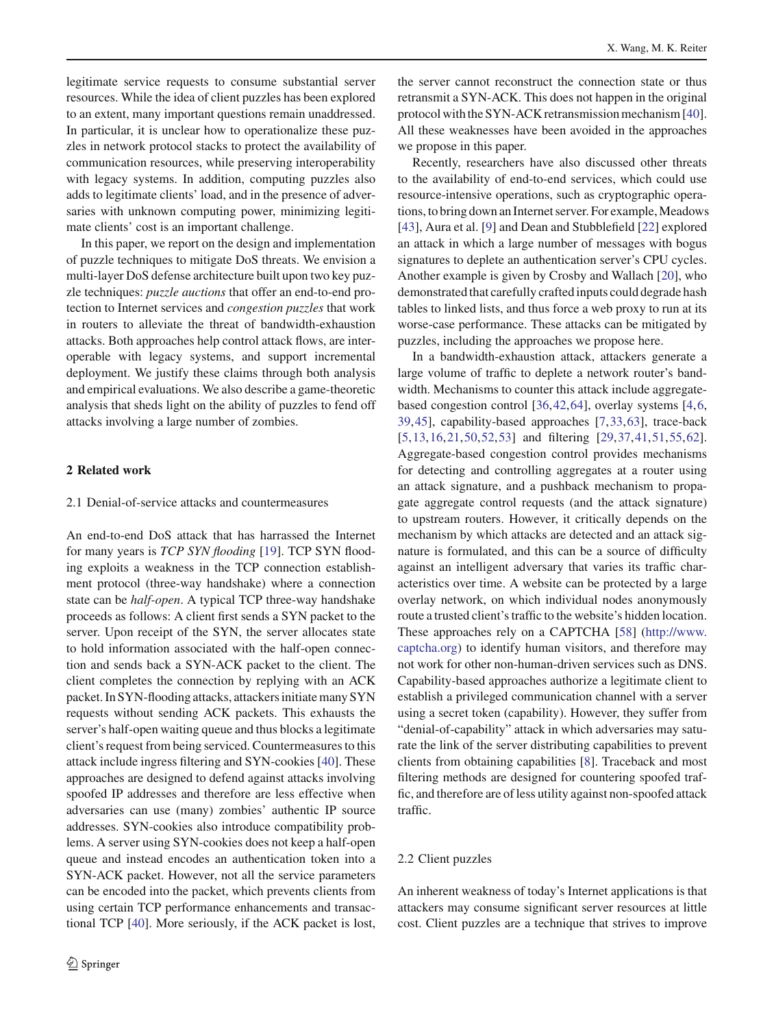legitimate service requests to consume substantial server resources. While the idea of client puzzles has been explored to an extent, many important questions remain unaddressed. In particular, it is unclear how to operationalize these puzzles in network protocol stacks to protect the availability of communication resources, while preserving interoperability with legacy systems. In addition, computing puzzles also adds to legitimate clients' load, and in the presence of adversaries with unknown computing power, minimizing legitimate clients' cost is an important challenge.

In this paper, we report on the design and implementation of puzzle techniques to mitigate DoS threats. We envision a multi-layer DoS defense architecture built upon two key puzzle techniques: *puzzle auctions* that offer an end-to-end protection to Internet services and *congestion puzzles* that work in routers to alleviate the threat of bandwidth-exhaustion attacks. Both approaches help control attack flows, are interoperable with legacy systems, and support incremental deployment. We justify these claims through both analysis and empirical evaluations. We also describe a game-theoretic analysis that sheds light on the ability of puzzles to fend off attacks involving a large number of zombies.

# **2 Related work**

### 2.1 Denial-of-service attacks and countermeasures

An end-to-end DoS attack that has harrassed the Internet for many years is *TCP SYN flooding* [\[19](#page-18-6)]. TCP SYN flooding exploits a weakness in the TCP connection establishment protocol (three-way handshake) where a connection state can be *half-open*. A typical TCP three-way handshake proceeds as follows: A client first sends a SYN packet to the server. Upon receipt of the SYN, the server allocates state to hold information associated with the half-open connection and sends back a SYN-ACK packet to the client. The client completes the connection by replying with an ACK packet. In SYN-flooding attacks, attackers initiate many SYN requests without sending ACK packets. This exhausts the server's half-open waiting queue and thus blocks a legitimate client's request from being serviced. Countermeasures to this attack include ingress filtering and SYN-cookies [\[40\]](#page-19-2). These approaches are designed to defend against attacks involving spoofed IP addresses and therefore are less effective when adversaries can use (many) zombies' authentic IP source addresses. SYN-cookies also introduce compatibility problems. A server using SYN-cookies does not keep a half-open queue and instead encodes an authentication token into a SYN-ACK packet. However, not all the service parameters can be encoded into the packet, which prevents clients from using certain TCP performance enhancements and transactional TCP [\[40](#page-19-2)]. More seriously, if the ACK packet is lost,

the server cannot reconstruct the connection state or thus retransmit a SYN-ACK. This does not happen in the original protocol with the SYN-ACK retransmission mechanism [\[40](#page-19-2)]. All these weaknesses have been avoided in the approaches we propose in this paper.

Recently, researchers have also discussed other threats to the availability of end-to-end services, which could use resource-intensive operations, such as cryptographic operations, to bring down an Internet server. For example, Meadows [\[43](#page-19-3)], Aura et al. [\[9\]](#page-18-5) and Dean and Stubblefield [\[22](#page-18-3)] explored an attack in which a large number of messages with bogus signatures to deplete an authentication server's CPU cycles. Another example is given by Crosby and Wallach [\[20\]](#page-18-4), who demonstrated that carefully crafted inputs could degrade hash tables to linked lists, and thus force a web proxy to run at its worse-case performance. These attacks can be mitigated by puzzles, including the approaches we propose here.

In a bandwidth-exhaustion attack, attackers generate a large volume of traffic to deplete a network router's bandwidth. Mechanisms to counter this attack include aggregatebased congestion control [\[36,](#page-19-4)[42](#page-19-5)[,64](#page-19-6)], overlay systems [\[4,](#page-18-7)[6,](#page-18-8) [39](#page-19-7)[,45](#page-19-8)], capability-based approaches [\[7](#page-18-9),[33](#page-19-9),[63\]](#page-19-10), trace-back [\[5](#page-18-10),[13,](#page-18-11)[16](#page-18-12)[,21](#page-18-13)[,50](#page-19-11),[52,](#page-19-12)[53\]](#page-19-13) and filtering [\[29](#page-19-14),[37,](#page-19-15)[41](#page-19-16)[,51](#page-19-17)[,55](#page-19-18)[,62](#page-19-19)]. Aggregate-based congestion control provides mechanisms for detecting and controlling aggregates at a router using an attack signature, and a pushback mechanism to propagate aggregate control requests (and the attack signature) to upstream routers. However, it critically depends on the mechanism by which attacks are detected and an attack signature is formulated, and this can be a source of difficulty against an intelligent adversary that varies its traffic characteristics over time. A website can be protected by a large overlay network, on which individual nodes anonymously route a trusted client's traffic to the website's hidden location. These approaches rely on a CAPTCHA [\[58\]](#page-19-20) (http://www. captcha.org) to identify human visitors, and therefore may not work for other non-human-driven services such as DNS. Capability-based approaches authorize a legitimate client to establish a privileged communication channel with a server using a secret token (capability). However, they suffer from "denial-of-capability" attack in which adversaries may saturate the link of the server distributing capabilities to prevent clients from obtaining capabilities [\[8\]](#page-18-14). Traceback and most filtering methods are designed for countering spoofed traffic, and therefore are of less utility against non-spoofed attack traffic.

### 2.2 Client puzzles

An inherent weakness of today's Internet applications is that attackers may consume significant server resources at little cost. Client puzzles are a technique that strives to improve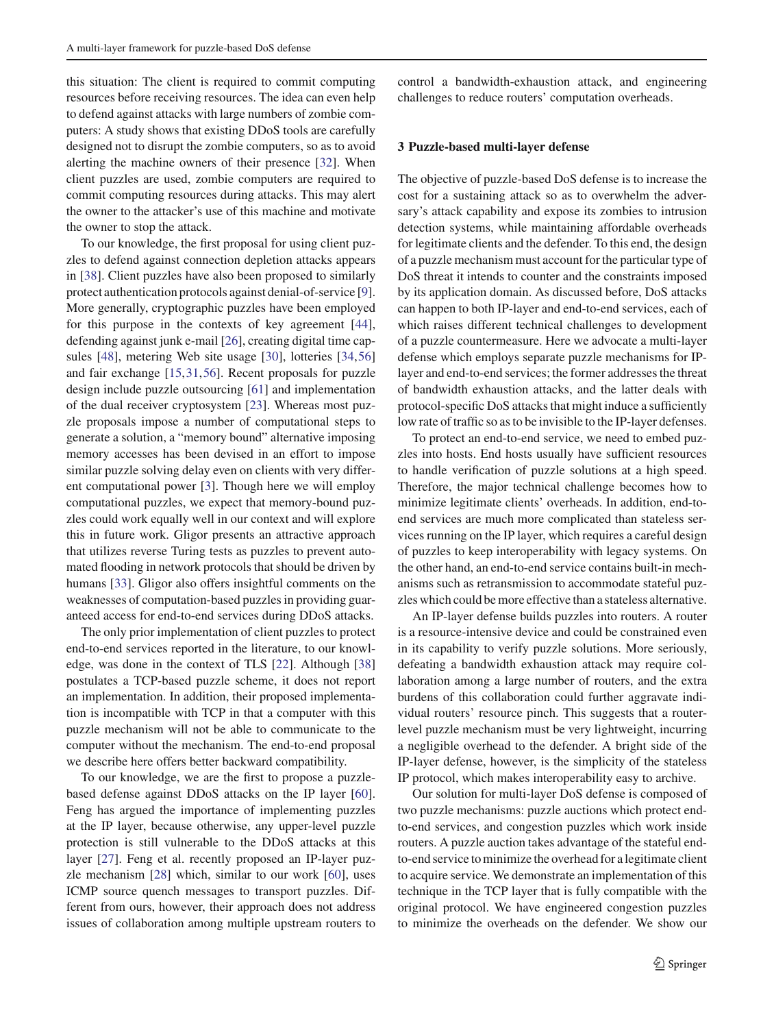this situation: The client is required to commit computing resources before receiving resources. The idea can even help to defend against attacks with large numbers of zombie computers: A study shows that existing DDoS tools are carefully designed not to disrupt the zombie computers, so as to avoid alerting the machine owners of their presence [\[32\]](#page-19-21). When client puzzles are used, zombie computers are required to commit computing resources during attacks. This may alert the owner to the attacker's use of this machine and motivate the owner to stop the attack.

To our knowledge, the first proposal for using client puzzles to defend against connection depletion attacks appears in [\[38\]](#page-19-1). Client puzzles have also been proposed to similarly protect authentication protocols against denial-of-service [\[9](#page-18-5)]. More generally, cryptographic puzzles have been employed for this purpose in the contexts of key agreement [\[44](#page-19-22)], defending against junk e-mail [\[26](#page-19-23)], creating digital time capsules [\[48\]](#page-19-24), metering Web site usage [\[30](#page-19-25)], lotteries [\[34,](#page-19-26)[56\]](#page-19-27) and fair exchange [\[15](#page-18-15)[,31](#page-19-28)[,56](#page-19-27)]. Recent proposals for puzzle design include puzzle outsourcing [\[61](#page-19-29)] and implementation of the dual receiver cryptosystem [\[23](#page-18-16)]. Whereas most puzzle proposals impose a number of computational steps to generate a solution, a "memory bound" alternative imposing memory accesses has been devised in an effort to impose similar puzzle solving delay even on clients with very different computational power [\[3\]](#page-18-17). Though here we will employ computational puzzles, we expect that memory-bound puzzles could work equally well in our context and will explore this in future work. Gligor presents an attractive approach that utilizes reverse Turing tests as puzzles to prevent automated flooding in network protocols that should be driven by humans [\[33](#page-19-9)]. Gligor also offers insightful comments on the weaknesses of computation-based puzzles in providing guaranteed access for end-to-end services during DDoS attacks.

The only prior implementation of client puzzles to protect end-to-end services reported in the literature, to our knowledge, was done in the context of TLS [\[22](#page-18-3)]. Although [\[38\]](#page-19-1) postulates a TCP-based puzzle scheme, it does not report an implementation. In addition, their proposed implementation is incompatible with TCP in that a computer with this puzzle mechanism will not be able to communicate to the computer without the mechanism. The end-to-end proposal we describe here offers better backward compatibility.

To our knowledge, we are the first to propose a puzzlebased defense against DDoS attacks on the IP layer [\[60](#page-19-30)]. Feng has argued the importance of implementing puzzles at the IP layer, because otherwise, any upper-level puzzle protection is still vulnerable to the DDoS attacks at this layer [\[27](#page-19-31)]. Feng et al. recently proposed an IP-layer puzzle mechanism [\[28](#page-19-32)] which, similar to our work [\[60\]](#page-19-30), uses ICMP source quench messages to transport puzzles. Different from ours, however, their approach does not address issues of collaboration among multiple upstream routers to control a bandwidth-exhaustion attack, and engineering challenges to reduce routers' computation overheads.

# **3 Puzzle-based multi-layer defense**

The objective of puzzle-based DoS defense is to increase the cost for a sustaining attack so as to overwhelm the adversary's attack capability and expose its zombies to intrusion detection systems, while maintaining affordable overheads for legitimate clients and the defender. To this end, the design of a puzzle mechanism must account for the particular type of DoS threat it intends to counter and the constraints imposed by its application domain. As discussed before, DoS attacks can happen to both IP-layer and end-to-end services, each of which raises different technical challenges to development of a puzzle countermeasure. Here we advocate a multi-layer defense which employs separate puzzle mechanisms for IPlayer and end-to-end services; the former addresses the threat of bandwidth exhaustion attacks, and the latter deals with protocol-specific DoS attacks that might induce a sufficiently low rate of traffic so as to be invisible to the IP-layer defenses.

To protect an end-to-end service, we need to embed puzzles into hosts. End hosts usually have sufficient resources to handle verification of puzzle solutions at a high speed. Therefore, the major technical challenge becomes how to minimize legitimate clients' overheads. In addition, end-toend services are much more complicated than stateless services running on the IP layer, which requires a careful design of puzzles to keep interoperability with legacy systems. On the other hand, an end-to-end service contains built-in mechanisms such as retransmission to accommodate stateful puzzles which could be more effective than a stateless alternative.

An IP-layer defense builds puzzles into routers. A router is a resource-intensive device and could be constrained even in its capability to verify puzzle solutions. More seriously, defeating a bandwidth exhaustion attack may require collaboration among a large number of routers, and the extra burdens of this collaboration could further aggravate individual routers' resource pinch. This suggests that a routerlevel puzzle mechanism must be very lightweight, incurring a negligible overhead to the defender. A bright side of the IP-layer defense, however, is the simplicity of the stateless IP protocol, which makes interoperability easy to archive.

Our solution for multi-layer DoS defense is composed of two puzzle mechanisms: puzzle auctions which protect endto-end services, and congestion puzzles which work inside routers. A puzzle auction takes advantage of the stateful endto-end service to minimize the overhead for a legitimate client to acquire service. We demonstrate an implementation of this technique in the TCP layer that is fully compatible with the original protocol. We have engineered congestion puzzles to minimize the overheads on the defender. We show our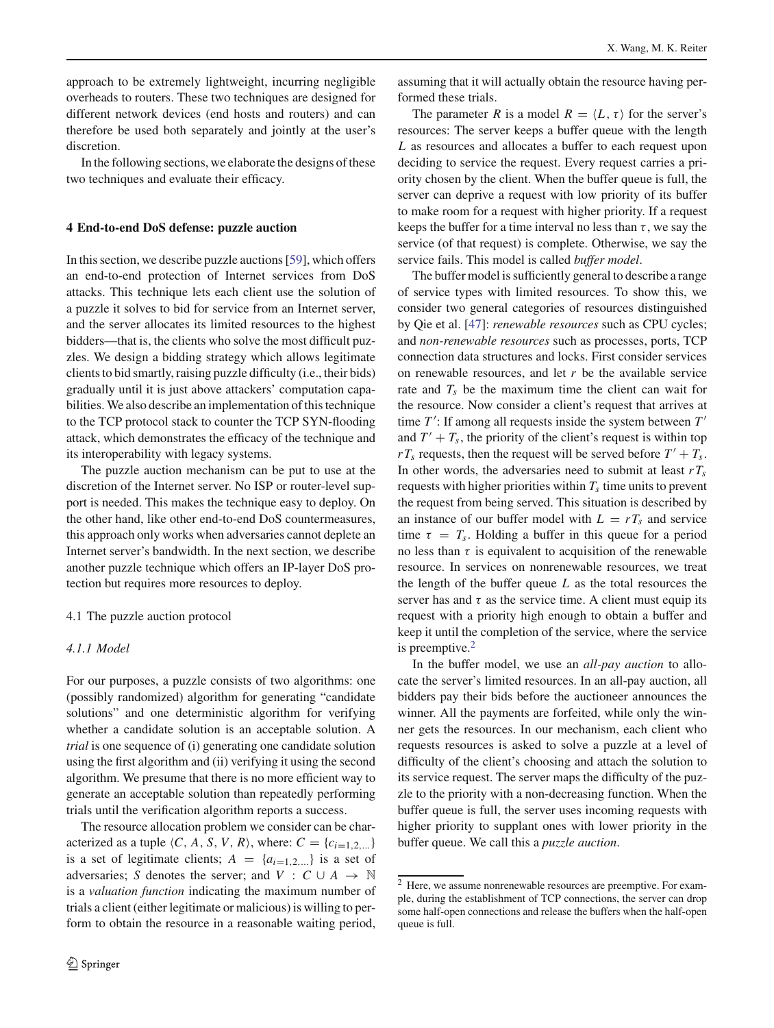approach to be extremely lightweight, incurring negligible overheads to routers. These two techniques are designed for different network devices (end hosts and routers) and can therefore be used both separately and jointly at the user's discretion.

In the following sections, we elaborate the designs of these two techniques and evaluate their efficacy.

### **4 End-to-end DoS defense: puzzle auction**

In this section, we describe puzzle auctions [\[59\]](#page-19-33), which offers an end-to-end protection of Internet services from DoS attacks. This technique lets each client use the solution of a puzzle it solves to bid for service from an Internet server, and the server allocates its limited resources to the highest bidders—that is, the clients who solve the most difficult puzzles. We design a bidding strategy which allows legitimate clients to bid smartly, raising puzzle difficulty (i.e., their bids) gradually until it is just above attackers' computation capabilities. We also describe an implementation of this technique to the TCP protocol stack to counter the TCP SYN-flooding attack, which demonstrates the efficacy of the technique and its interoperability with legacy systems.

The puzzle auction mechanism can be put to use at the discretion of the Internet server. No ISP or router-level support is needed. This makes the technique easy to deploy. On the other hand, like other end-to-end DoS countermeasures, this approach only works when adversaries cannot deplete an Internet server's bandwidth. In the next section, we describe another puzzle technique which offers an IP-layer DoS protection but requires more resources to deploy.

### 4.1 The puzzle auction protocol

# *4.1.1 Model*

For our purposes, a puzzle consists of two algorithms: one (possibly randomized) algorithm for generating "candidate solutions" and one deterministic algorithm for verifying whether a candidate solution is an acceptable solution. A *trial* is one sequence of (i) generating one candidate solution using the first algorithm and (ii) verifying it using the second algorithm. We presume that there is no more efficient way to generate an acceptable solution than repeatedly performing trials until the verification algorithm reports a success.

The resource allocation problem we consider can be characterized as a tuple  $\langle C, A, S, V, R \rangle$ , where:  $C = \{c_{i=1,2,...}\}$ is a set of legitimate clients;  $A = \{a_{i=1,2,...}\}\)$  is a set of adversaries; *S* denotes the server; and *V* :  $C \cup A \rightarrow \mathbb{N}$ is a *valuation function* indicating the maximum number of trials a client (either legitimate or malicious) is willing to perform to obtain the resource in a reasonable waiting period,

assuming that it will actually obtain the resource having performed these trials.

The parameter *R* is a model  $R = \langle L, \tau \rangle$  for the server's resources: The server keeps a buffer queue with the length *L* as resources and allocates a buffer to each request upon deciding to service the request. Every request carries a priority chosen by the client. When the buffer queue is full, the server can deprive a request with low priority of its buffer to make room for a request with higher priority. If a request keeps the buffer for a time interval no less than  $\tau$ , we say the service (of that request) is complete. Otherwise, we say the service fails. This model is called *buffer model*.

The buffer model is sufficiently general to describe a range of service types with limited resources. To show this, we consider two general categories of resources distinguished by Qie et al. [\[47\]](#page-19-34): *renewable resources* such as CPU cycles; and *non-renewable resources* such as processes, ports, TCP connection data structures and locks. First consider services on renewable resources, and let *r* be the available service rate and  $T<sub>s</sub>$  be the maximum time the client can wait for the resource. Now consider a client's request that arrives at time  $T'$ : If among all requests inside the system between  $T'$ and  $T' + T_s$ , the priority of the client's request is within top  $rT_s$  requests, then the request will be served before  $T' + T_s$ . In other words, the adversaries need to submit at least  $rT_s$ requests with higher priorities within  $T_s$  time units to prevent the request from being served. This situation is described by an instance of our buffer model with  $L = rT_s$  and service time  $\tau = T_s$ . Holding a buffer in this queue for a period no less than  $\tau$  is equivalent to acquisition of the renewable resource. In services on nonrenewable resources, we treat the length of the buffer queue *L* as the total resources the server has and  $\tau$  as the service time. A client must equip its request with a priority high enough to obtain a buffer and keep it until the completion of the service, where the service is preemptive. $<sup>2</sup>$  $<sup>2</sup>$  $<sup>2</sup>$ </sup>

In the buffer model, we use an *all-pay auction* to allocate the server's limited resources. In an all-pay auction, all bidders pay their bids before the auctioneer announces the winner. All the payments are forfeited, while only the winner gets the resources. In our mechanism, each client who requests resources is asked to solve a puzzle at a level of difficulty of the client's choosing and attach the solution to its service request. The server maps the difficulty of the puzzle to the priority with a non-decreasing function. When the buffer queue is full, the server uses incoming requests with higher priority to supplant ones with lower priority in the buffer queue. We call this a *puzzle auction*.

<span id="page-3-0"></span> $\overline{2}$  Here, we assume nonrenewable resources are preemptive. For example, during the establishment of TCP connections, the server can drop some half-open connections and release the buffers when the half-open queue is full.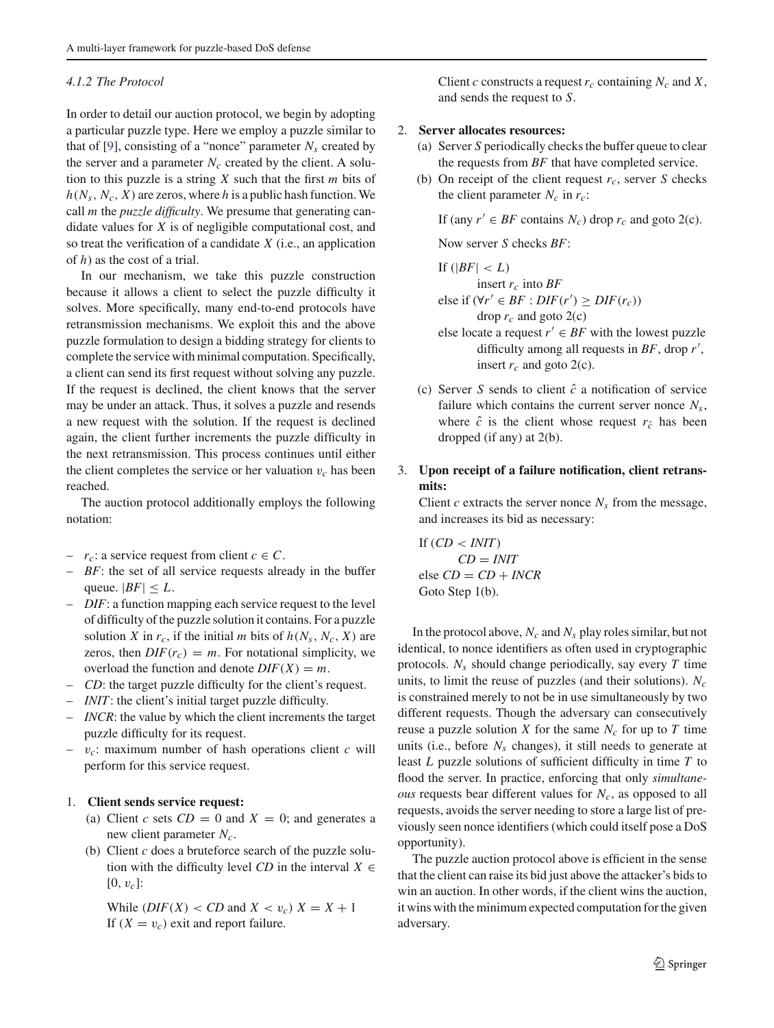# <span id="page-4-0"></span>*4.1.2 The Protocol*

In order to detail our auction protocol, we begin by adopting a particular puzzle type. Here we employ a puzzle similar to that of [\[9\]](#page-18-5), consisting of a "nonce" parameter  $N_s$  created by the server and a parameter  $N_c$  created by the client. A solution to this puzzle is a string *X* such that the first *m* bits of  $h(N_s, N_c, X)$  are zeros, where *h* is a public hash function. We call *m* the *puzzle difficulty*. We presume that generating candidate values for *X* is of negligible computational cost, and so treat the verification of a candidate *X* (i.e., an application of *h*) as the cost of a trial.

In our mechanism, we take this puzzle construction because it allows a client to select the puzzle difficulty it solves. More specifically, many end-to-end protocols have retransmission mechanisms. We exploit this and the above puzzle formulation to design a bidding strategy for clients to complete the service with minimal computation. Specifically, a client can send its first request without solving any puzzle. If the request is declined, the client knows that the server may be under an attack. Thus, it solves a puzzle and resends a new request with the solution. If the request is declined again, the client further increments the puzzle difficulty in the next retransmission. This process continues until either the client completes the service or her valuation  $v_c$  has been reached.

The auction protocol additionally employs the following notation:

- −  $r_c$ : a service request from client  $c \in C$ .
- *BF*: the set of all service requests already in the buffer queue.  $|BF| \leq L$ .
- *DIF*: a function mapping each service request to the level of difficulty of the puzzle solution it contains. For a puzzle solution *X* in  $r_c$ , if the initial *m* bits of  $h(N_s, N_c, X)$  are zeros, then  $DIF(r_c) = m$ . For notational simplicity, we overload the function and denote  $DIF(X) = m$ .
- *CD*: the target puzzle difficulty for the client's request.
- *INIT*: the client's initial target puzzle difficulty.
- *INCR*: the value by which the client increments the target puzzle difficulty for its request.
- $v_c$ : maximum number of hash operations client  $c$  will perform for this service request.

# 1. **Client sends service request:**

- (a) Client *c* sets  $CD = 0$  and  $X = 0$ ; and generates a new client parameter *Nc*.
- (b) Client *c* does a bruteforce search of the puzzle solution with the difficulty level *CD* in the interval  $X \in$  $[0, v_c]$ :

While  $(DIF(X) < CD$  and  $X < v_c$ )  $X = X + 1$ If  $(X = v_c)$  exit and report failure.

Client *c* constructs a request  $r_c$  containing  $N_c$  and  $X$ , and sends the request to *S*.

# 2. **Server allocates resources:**

- (a) Server *S* periodically checks the buffer queue to clear the requests from *BF* that have completed service.
- (b) On receipt of the client request  $r_c$ , server *S* checks the client parameter  $N_c$  in  $r_c$ :

If (any  $r' \in BF$  contains  $N_c$ ) drop  $r_c$  and goto 2(c).

Now server *S* checks *BF*:

If 
$$
(|BF| < L)
$$
  
insert  $r_c$  into  $BF$   
else if  $(\forall r' \in BF : DIFF(r') \ge DIFF(r_c))$   
drop  $r_c$  and goto 2(c)

- else locate a request  $r' \in BF$  with the lowest puzzle difficulty among all requests in *BF*, drop *r* , insert  $r_c$  and goto  $2(c)$ .
- (c) Server *S* sends to client  $\hat{c}$  a notification of service failure which contains the current server nonce  $N_s$ , where  $\hat{c}$  is the client whose request  $r_{\hat{c}}$  has been dropped (if any) at 2(b).

# 3. **Upon receipt of a failure notification, client retransmits:**

Client  $c$  extracts the server nonce  $N_s$  from the message, and increases its bid as necessary:

If 
$$
(CD < INIT)
$$
  
\n $CD = INIT$   
\nelse  $CD = CD + INCR$   
\nGoto Step 1(b).

In the protocol above,  $N_c$  and  $N_s$  play roles similar, but not identical, to nonce identifiers as often used in cryptographic protocols. *Ns* should change periodically, say every *T* time units, to limit the reuse of puzzles (and their solutions). *Nc* is constrained merely to not be in use simultaneously by two different requests. Though the adversary can consecutively reuse a puzzle solution *X* for the same  $N_c$  for up to *T* time units (i.e., before  $N_s$  changes), it still needs to generate at least *L* puzzle solutions of sufficient difficulty in time *T* to flood the server. In practice, enforcing that only *simultaneous* requests bear different values for  $N_c$ , as opposed to all requests, avoids the server needing to store a large list of previously seen nonce identifiers (which could itself pose a DoS opportunity).

The puzzle auction protocol above is efficient in the sense that the client can raise its bid just above the attacker's bids to win an auction. In other words, if the client wins the auction, it wins with the minimum expected computation for the given adversary.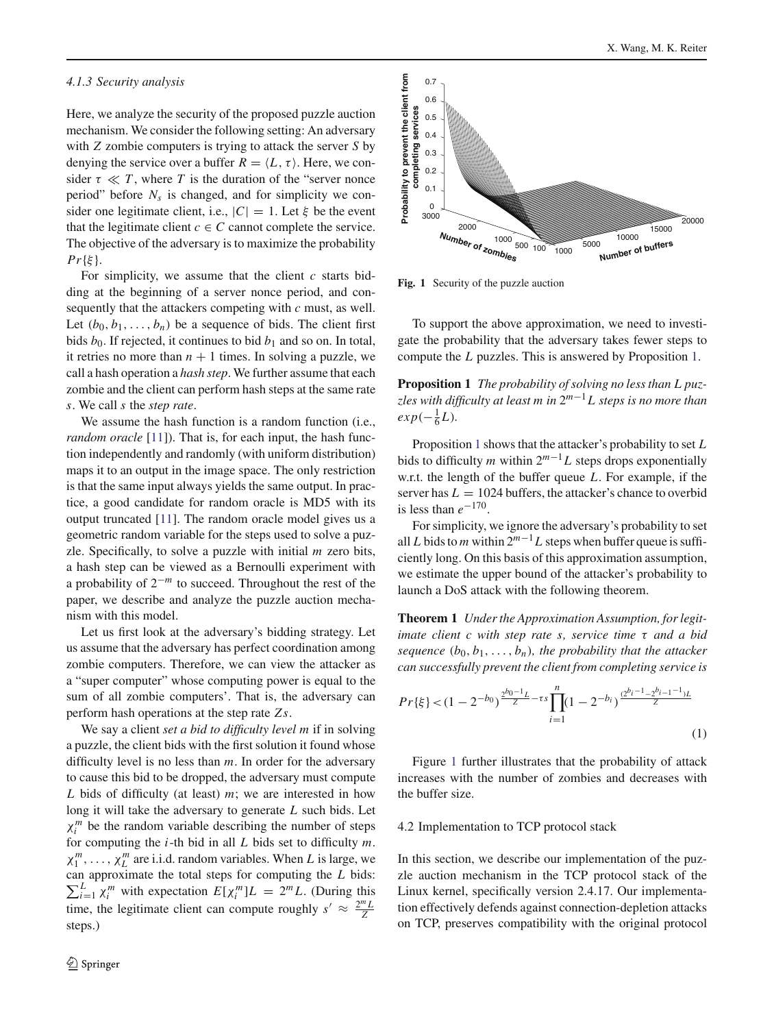### *4.1.3 Security analysis*

Here, we analyze the security of the proposed puzzle auction mechanism. We consider the following setting: An adversary with *Z* zombie computers is trying to attack the server *S* by denying the service over a buffer  $R = \langle L, \tau \rangle$ . Here, we consider  $\tau \ll T$ , where *T* is the duration of the "server nonce period" before  $N_s$  is changed, and for simplicity we consider one legitimate client, i.e.,  $|C| = 1$ . Let  $\xi$  be the event that the legitimate client  $c \in C$  cannot complete the service. The objective of the adversary is to maximize the probability *Pr*{ξ }.

For simplicity, we assume that the client *c* starts bidding at the beginning of a server nonce period, and consequently that the attackers competing with *c* must, as well. Let  $(b_0, b_1, \ldots, b_n)$  be a sequence of bids. The client first bids  $b_0$ . If rejected, it continues to bid  $b_1$  and so on. In total, it retries no more than  $n + 1$  times. In solving a puzzle, we call a hash operation a *hash step*. We further assume that each zombie and the client can perform hash steps at the same rate *s*. We call *s* the *step rate*.

We assume the hash function is a random function (i.e., *random oracle* [\[11](#page-18-18)]). That is, for each input, the hash function independently and randomly (with uniform distribution) maps it to an output in the image space. The only restriction is that the same input always yields the same output. In practice, a good candidate for random oracle is MD5 with its output truncated [\[11\]](#page-18-18). The random oracle model gives us a geometric random variable for the steps used to solve a puzzle. Specifically, to solve a puzzle with initial *m* zero bits, a hash step can be viewed as a Bernoulli experiment with a probability of 2−*<sup>m</sup>* to succeed. Throughout the rest of the paper, we describe and analyze the puzzle auction mechanism with this model.

Let us first look at the adversary's bidding strategy. Let us assume that the adversary has perfect coordination among zombie computers. Therefore, we can view the attacker as a "super computer" whose computing power is equal to the sum of all zombie computers'. That is, the adversary can perform hash operations at the step rate *Zs*.

We say a client *set a bid to difficulty level m* if in solving a puzzle, the client bids with the first solution it found whose difficulty level is no less than *m*. In order for the adversary to cause this bid to be dropped, the adversary must compute *L* bids of difficulty (at least) *m*; we are interested in how long it will take the adversary to generate *L* such bids. Let  $\chi_i^m$  be the random variable describing the number of steps for computing the *i*-th bid in all *L* bids set to difficulty *m*.  $\chi_1^m, \ldots, \chi_L^m$  are i.i.d. random variables. When *L* is large, we can approximate the total steps for computing the *L* bids:  $\sum_{i=1}^{L} \chi_i^m$  with expectation  $E[\chi_i^m]L = 2^m L$ . (During this time, the legitimate client can compute roughly  $s' \approx \frac{2^m L}{Z}$ steps.)



<span id="page-5-1"></span>**Fig. 1** Security of the puzzle auction

To support the above approximation, we need to investigate the probability that the adversary takes fewer steps to compute the *L* puzzles. This is answered by Proposition [1.](#page-5-0)

<span id="page-5-0"></span>**Proposition 1** *The probability of solving no less than L puzzles with difficulty at least m in* 2*m*−1*L steps is no more than*  $exp(-\frac{1}{6}L)$ .

Proposition [1](#page-5-0) shows that the attacker's probability to set *L* bids to difficulty *m* within  $2^{m-1}L$  steps drops exponentially w.r.t. the length of the buffer queue *L*. For example, if the server has  $L = 1024$  buffers, the attacker's chance to overbid is less than *e*<sup>−</sup>170.

For simplicity, we ignore the adversary's probability to set all *L* bids to *m* within  $2^{m-1}L$  steps when buffer queue is sufficiently long. On this basis of this approximation assumption, we estimate the upper bound of the attacker's probability to launch a DoS attack with the following theorem.

<span id="page-5-2"></span>**Theorem 1** *Under the Approximation Assumption, for legitimate client c with step rate s, service time* τ *and a bid sequence*  $(b_0, b_1, \ldots, b_n)$ *, the probability that the attacker can successfully prevent the client from completing service is*

$$
Pr\{\xi\} < (1 - 2^{-b_0})^{\frac{2b_0 - 1_L}{Z} - \tau s} \prod_{i=1}^n (1 - 2^{-b_i})^{\frac{(2^{b_i - 1} - 2^{b_{i-1} - 1})_L}{Z}} \tag{1}
$$

Figure [1](#page-5-1) further illustrates that the probability of attack increases with the number of zombies and decreases with the buffer size.

### 4.2 Implementation to TCP protocol stack

In this section, we describe our implementation of the puzzle auction mechanism in the TCP protocol stack of the Linux kernel, specifically version 2.4.17. Our implementation effectively defends against connection-depletion attacks on TCP, preserves compatibility with the original protocol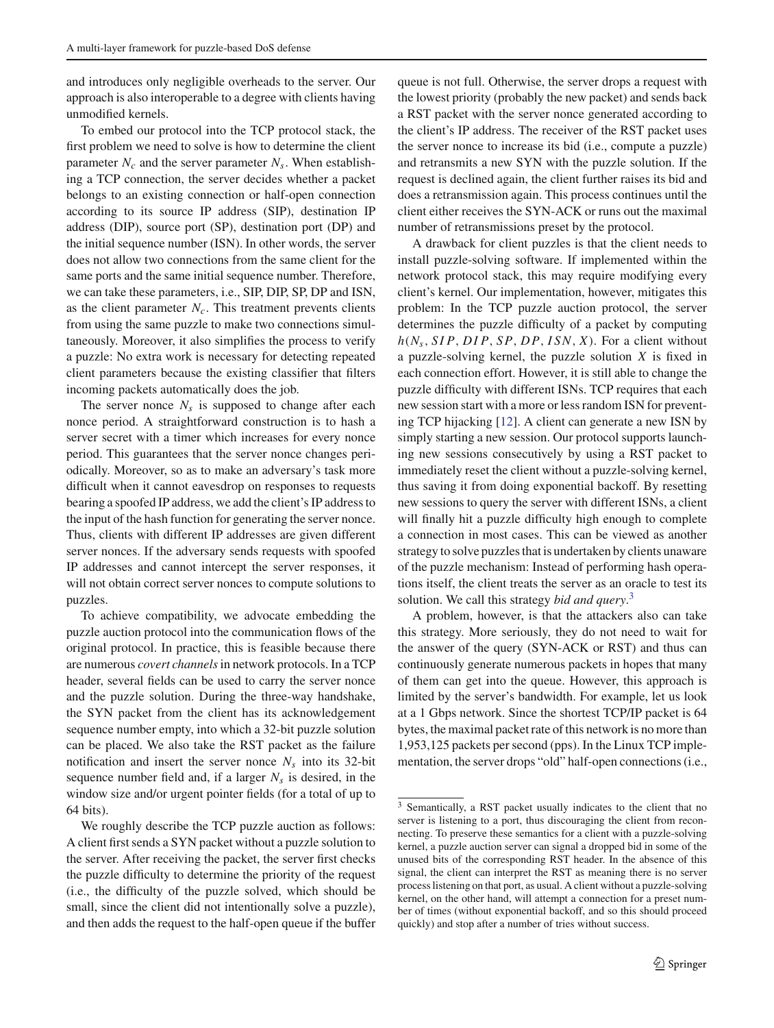and introduces only negligible overheads to the server. Our approach is also interoperable to a degree with clients having unmodified kernels.

To embed our protocol into the TCP protocol stack, the first problem we need to solve is how to determine the client parameter  $N_c$  and the server parameter  $N_s$ . When establishing a TCP connection, the server decides whether a packet belongs to an existing connection or half-open connection according to its source IP address (SIP), destination IP address (DIP), source port (SP), destination port (DP) and the initial sequence number (ISN). In other words, the server does not allow two connections from the same client for the same ports and the same initial sequence number. Therefore, we can take these parameters, i.e., SIP, DIP, SP, DP and ISN, as the client parameter  $N_c$ . This treatment prevents clients from using the same puzzle to make two connections simultaneously. Moreover, it also simplifies the process to verify a puzzle: No extra work is necessary for detecting repeated client parameters because the existing classifier that filters incoming packets automatically does the job.

The server nonce  $N_s$  is supposed to change after each nonce period. A straightforward construction is to hash a server secret with a timer which increases for every nonce period. This guarantees that the server nonce changes periodically. Moreover, so as to make an adversary's task more difficult when it cannot eavesdrop on responses to requests bearing a spoofed IP address, we add the client's IP address to the input of the hash function for generating the server nonce. Thus, clients with different IP addresses are given different server nonces. If the adversary sends requests with spoofed IP addresses and cannot intercept the server responses, it will not obtain correct server nonces to compute solutions to puzzles.

To achieve compatibility, we advocate embedding the puzzle auction protocol into the communication flows of the original protocol. In practice, this is feasible because there are numerous *covert channels*in network protocols. In a TCP header, several fields can be used to carry the server nonce and the puzzle solution. During the three-way handshake, the SYN packet from the client has its acknowledgement sequence number empty, into which a 32-bit puzzle solution can be placed. We also take the RST packet as the failure notification and insert the server nonce  $N_s$  into its 32-bit sequence number field and, if a larger  $N_s$  is desired, in the window size and/or urgent pointer fields (for a total of up to 64 bits).

We roughly describe the TCP puzzle auction as follows: A client first sends a SYN packet without a puzzle solution to the server. After receiving the packet, the server first checks the puzzle difficulty to determine the priority of the request (i.e., the difficulty of the puzzle solved, which should be small, since the client did not intentionally solve a puzzle), and then adds the request to the half-open queue if the buffer queue is not full. Otherwise, the server drops a request with the lowest priority (probably the new packet) and sends back a RST packet with the server nonce generated according to the client's IP address. The receiver of the RST packet uses the server nonce to increase its bid (i.e., compute a puzzle) and retransmits a new SYN with the puzzle solution. If the request is declined again, the client further raises its bid and does a retransmission again. This process continues until the client either receives the SYN-ACK or runs out the maximal number of retransmissions preset by the protocol.

A drawback for client puzzles is that the client needs to install puzzle-solving software. If implemented within the network protocol stack, this may require modifying every client's kernel. Our implementation, however, mitigates this problem: In the TCP puzzle auction protocol, the server determines the puzzle difficulty of a packet by computing  $h(N_s, SIP, DIP, SP, DP, ISN, X)$ . For a client without a puzzle-solving kernel, the puzzle solution *X* is fixed in each connection effort. However, it is still able to change the puzzle difficulty with different ISNs. TCP requires that each new session start with a more or less random ISN for preventing TCP hijacking [\[12\]](#page-18-19). A client can generate a new ISN by simply starting a new session. Our protocol supports launching new sessions consecutively by using a RST packet to immediately reset the client without a puzzle-solving kernel, thus saving it from doing exponential backoff. By resetting new sessions to query the server with different ISNs, a client will finally hit a puzzle difficulty high enough to complete a connection in most cases. This can be viewed as another strategy to solve puzzles that is undertaken by clients unaware of the puzzle mechanism: Instead of performing hash operations itself, the client treats the server as an oracle to test its solution. We call this strategy *bid and query*. [3](#page-6-0)

A problem, however, is that the attackers also can take this strategy. More seriously, they do not need to wait for the answer of the query (SYN-ACK or RST) and thus can continuously generate numerous packets in hopes that many of them can get into the queue. However, this approach is limited by the server's bandwidth. For example, let us look at a 1 Gbps network. Since the shortest TCP/IP packet is 64 bytes, the maximal packet rate of this network is no more than 1,953,125 packets per second (pps). In the Linux TCP implementation, the server drops "old" half-open connections (i.e.,

<span id="page-6-0"></span><sup>3</sup> Semantically, a RST packet usually indicates to the client that no server is listening to a port, thus discouraging the client from reconnecting. To preserve these semantics for a client with a puzzle-solving kernel, a puzzle auction server can signal a dropped bid in some of the unused bits of the corresponding RST header. In the absence of this signal, the client can interpret the RST as meaning there is no server process listening on that port, as usual. A client without a puzzle-solving kernel, on the other hand, will attempt a connection for a preset number of times (without exponential backoff, and so this should proceed quickly) and stop after a number of tries without success.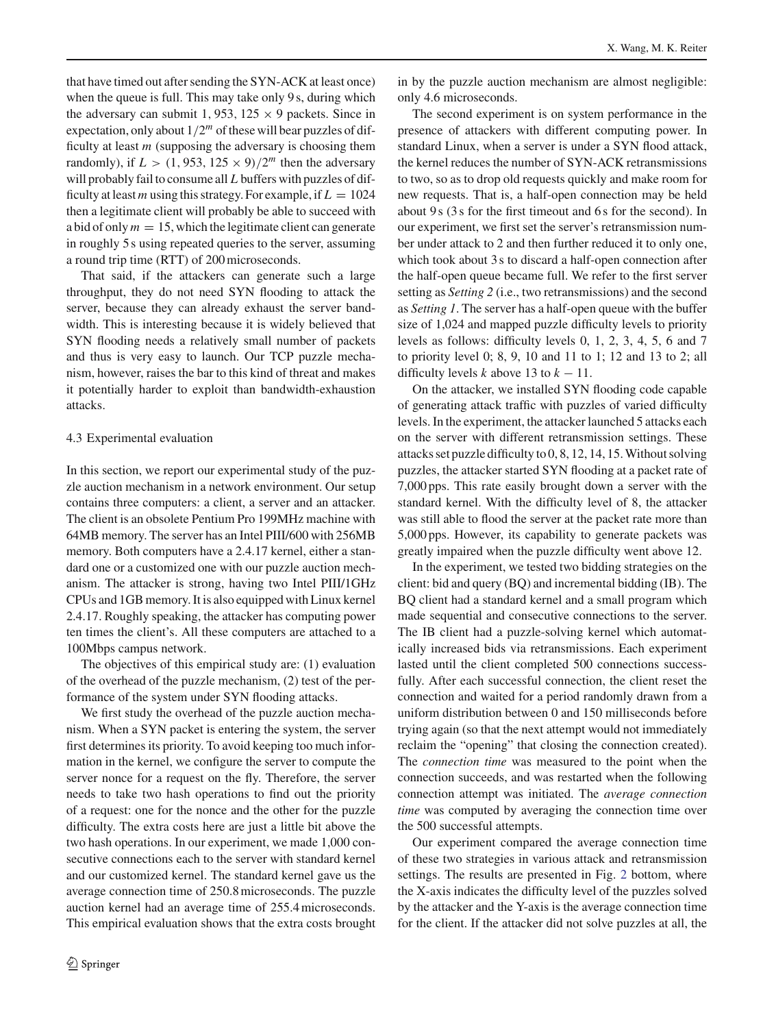that have timed out after sending the SYN-ACK at least once) when the queue is full. This may take only 9 s, during which the adversary can submit 1, 953, 125  $\times$  9 packets. Since in expectation, only about  $1/2^m$  of these will bear puzzles of difficulty at least *m* (supposing the adversary is choosing them randomly), if  $L > (1, 953, 125 \times 9)/2^m$  then the adversary will probably fail to consume all *L* buffers with puzzles of difficulty at least m using this strategy. For example, if  $L = 1024$ then a legitimate client will probably be able to succeed with a bid of only  $m = 15$ , which the legitimate client can generate in roughly 5 s using repeated queries to the server, assuming a round trip time (RTT) of 200 microseconds.

That said, if the attackers can generate such a large throughput, they do not need SYN flooding to attack the server, because they can already exhaust the server bandwidth. This is interesting because it is widely believed that SYN flooding needs a relatively small number of packets and thus is very easy to launch. Our TCP puzzle mechanism, however, raises the bar to this kind of threat and makes it potentially harder to exploit than bandwidth-exhaustion attacks.

# 4.3 Experimental evaluation

In this section, we report our experimental study of the puzzle auction mechanism in a network environment. Our setup contains three computers: a client, a server and an attacker. The client is an obsolete Pentium Pro 199MHz machine with 64MB memory. The server has an Intel PIII/600 with 256MB memory. Both computers have a 2.4.17 kernel, either a standard one or a customized one with our puzzle auction mechanism. The attacker is strong, having two Intel PIII/1GHz CPUs and 1GB memory. It is also equipped with Linux kernel 2.4.17. Roughly speaking, the attacker has computing power ten times the client's. All these computers are attached to a 100Mbps campus network.

The objectives of this empirical study are: (1) evaluation of the overhead of the puzzle mechanism, (2) test of the performance of the system under SYN flooding attacks.

We first study the overhead of the puzzle auction mechanism. When a SYN packet is entering the system, the server first determines its priority. To avoid keeping too much information in the kernel, we configure the server to compute the server nonce for a request on the fly. Therefore, the server needs to take two hash operations to find out the priority of a request: one for the nonce and the other for the puzzle difficulty. The extra costs here are just a little bit above the two hash operations. In our experiment, we made 1,000 consecutive connections each to the server with standard kernel and our customized kernel. The standard kernel gave us the average connection time of 250.8 microseconds. The puzzle auction kernel had an average time of 255.4 microseconds. This empirical evaluation shows that the extra costs brought in by the puzzle auction mechanism are almost negligible: only 4.6 microseconds.

The second experiment is on system performance in the presence of attackers with different computing power. In standard Linux, when a server is under a SYN flood attack, the kernel reduces the number of SYN-ACK retransmissions to two, so as to drop old requests quickly and make room for new requests. That is, a half-open connection may be held about 9 s (3 s for the first timeout and 6 s for the second). In our experiment, we first set the server's retransmission number under attack to 2 and then further reduced it to only one, which took about 3 s to discard a half-open connection after the half-open queue became full. We refer to the first server setting as *Setting 2* (i.e., two retransmissions) and the second as *Setting 1*. The server has a half-open queue with the buffer size of 1,024 and mapped puzzle difficulty levels to priority levels as follows: difficulty levels 0, 1, 2, 3, 4, 5, 6 and 7 to priority level 0; 8, 9, 10 and 11 to 1; 12 and 13 to 2; all difficulty levels *k* above 13 to  $k - 11$ .

On the attacker, we installed SYN flooding code capable of generating attack traffic with puzzles of varied difficulty levels. In the experiment, the attacker launched 5 attacks each on the server with different retransmission settings. These attacks set puzzle difficulty to 0, 8, 12, 14, 15. Without solving puzzles, the attacker started SYN flooding at a packet rate of 7,000 pps. This rate easily brought down a server with the standard kernel. With the difficulty level of 8, the attacker was still able to flood the server at the packet rate more than 5,000 pps. However, its capability to generate packets was greatly impaired when the puzzle difficulty went above 12.

In the experiment, we tested two bidding strategies on the client: bid and query (BQ) and incremental bidding (IB). The BQ client had a standard kernel and a small program which made sequential and consecutive connections to the server. The IB client had a puzzle-solving kernel which automatically increased bids via retransmissions. Each experiment lasted until the client completed 500 connections successfully. After each successful connection, the client reset the connection and waited for a period randomly drawn from a uniform distribution between 0 and 150 milliseconds before trying again (so that the next attempt would not immediately reclaim the "opening" that closing the connection created). The *connection time* was measured to the point when the connection succeeds, and was restarted when the following connection attempt was initiated. The *average connection time* was computed by averaging the connection time over the 500 successful attempts.

Our experiment compared the average connection time of these two strategies in various attack and retransmission settings. The results are presented in Fig. [2](#page-8-0) bottom, where the X-axis indicates the difficulty level of the puzzles solved by the attacker and the Y-axis is the average connection time for the client. If the attacker did not solve puzzles at all, the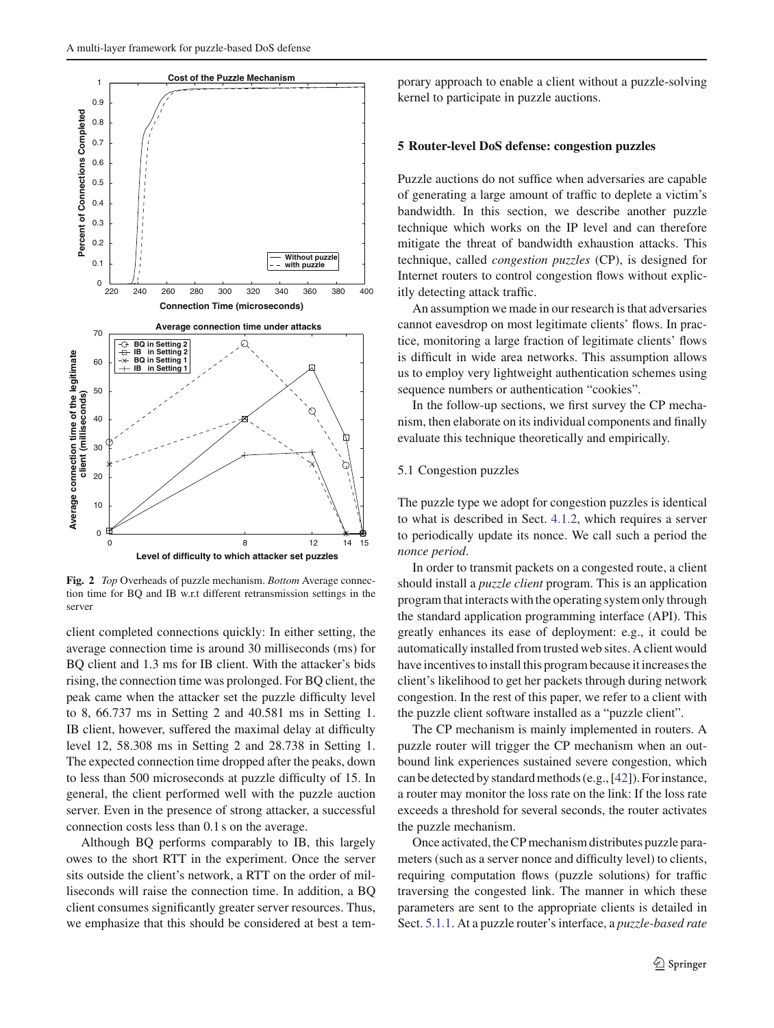

<span id="page-8-0"></span>**Fig. 2** *Top* Overheads of puzzle mechanism. *Bottom* Average connection time for BQ and IB w.r.t different retransmission settings in the server

client completed connections quickly: In either setting, the average connection time is around 30 milliseconds (ms) for BQ client and 1.3 ms for IB client. With the attacker's bids rising, the connection time was prolonged. For BQ client, the peak came when the attacker set the puzzle difficulty level to 8, 66.737 ms in Setting 2 and 40.581 ms in Setting 1. IB client, however, suffered the maximal delay at difficulty level 12, 58.308 ms in Setting 2 and 28.738 in Setting 1. The expected connection time dropped after the peaks, down to less than 500 microseconds at puzzle difficulty of 15. In general, the client performed well with the puzzle auction server. Even in the presence of strong attacker, a successful connection costs less than 0.1 s on the average.

Although BQ performs comparably to IB, this largely owes to the short RTT in the experiment. Once the server sits outside the client's network, a RTT on the order of milliseconds will raise the connection time. In addition, a BQ client consumes significantly greater server resources. Thus, we emphasize that this should be considered at best a temporary approach to enable a client without a puzzle-solving kernel to participate in puzzle auctions.

# **5 Router-level DoS defense: congestion puzzles**

Puzzle auctions do not suffice when adversaries are capable of generating a large amount of traffic to deplete a victim's bandwidth. In this section, we describe another puzzle technique which works on the IP level and can therefore mitigate the threat of bandwidth exhaustion attacks. This technique, called *congestion puzzles* (CP), is designed for Internet routers to control congestion flows without explicitly detecting attack traffic.

An assumption we made in our research is that adversaries cannot eavesdrop on most legitimate clients' flows. In practice, monitoring a large fraction of legitimate clients' flows is difficult in wide area networks. This assumption allows us to employ very lightweight authentication schemes using sequence numbers or authentication "cookies".

In the follow-up sections, we first survey the CP mechanism, then elaborate on its individual components and finally evaluate this technique theoretically and empirically.

### 5.1 Congestion puzzles

The puzzle type we adopt for congestion puzzles is identical to what is described in Sect. [4.1.2,](#page-4-0) which requires a server to periodically update its nonce. We call such a period the *nonce period*.

In order to transmit packets on a congested route, a client should install a *puzzle client* program. This is an application program that interacts with the operating system only through the standard application programming interface (API). This greatly enhances its ease of deployment: e.g., it could be automatically installed from trusted web sites. A client would have incentives to install this program because it increases the client's likelihood to get her packets through during network congestion. In the rest of this paper, we refer to a client with the puzzle client software installed as a "puzzle client".

The CP mechanism is mainly implemented in routers. A puzzle router will trigger the CP mechanism when an outbound link experiences sustained severe congestion, which can be detected by standard methods (e.g., [\[42](#page-19-5)]). For instance, a router may monitor the loss rate on the link: If the loss rate exceeds a threshold for several seconds, the router activates the puzzle mechanism.

Once activated, the CP mechanism distributes puzzle parameters (such as a server nonce and difficulty level) to clients, requiring computation flows (puzzle solutions) for traffic traversing the congested link. The manner in which these parameters are sent to the appropriate clients is detailed in Sect. [5.1.1.](#page-9-0) At a puzzle router's interface, a *puzzle-based rate*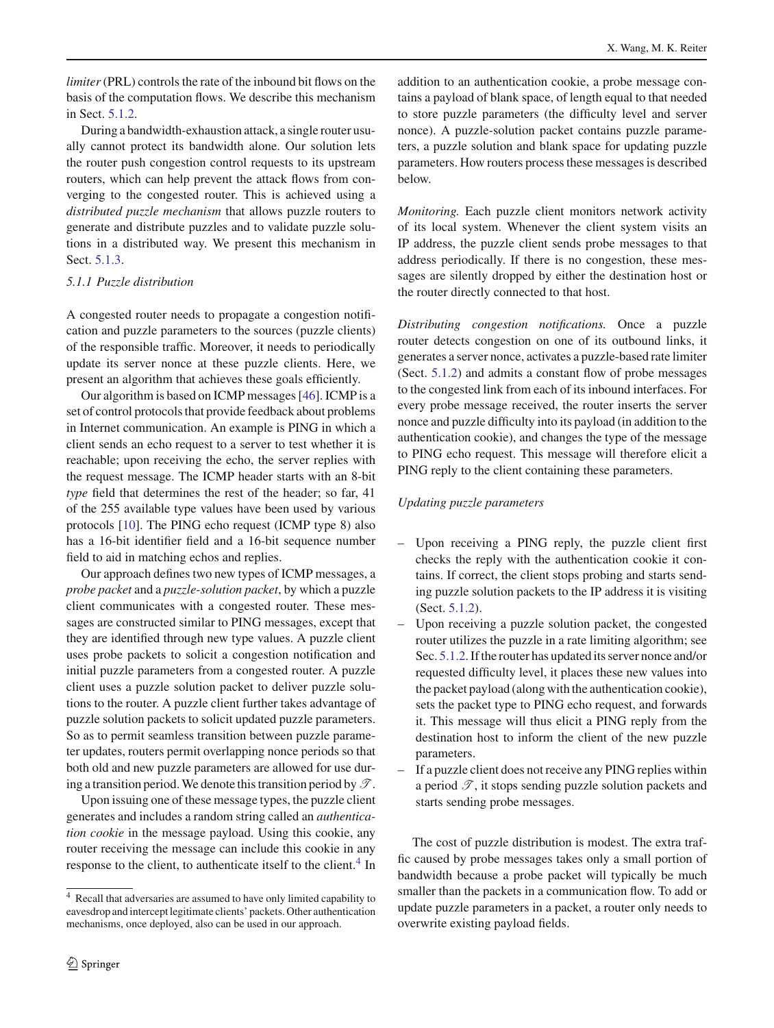*limiter* (PRL) controls the rate of the inbound bit flows on the basis of the computation flows. We describe this mechanism in Sect. [5.1.2.](#page-10-0)

During a bandwidth-exhaustion attack, a single router usually cannot protect its bandwidth alone. Our solution lets the router push congestion control requests to its upstream routers, which can help prevent the attack flows from converging to the congested router. This is achieved using a *distributed puzzle mechanism* that allows puzzle routers to generate and distribute puzzles and to validate puzzle solutions in a distributed way. We present this mechanism in Sect. [5.1.3.](#page-10-1)

# <span id="page-9-0"></span>*5.1.1 Puzzle distribution*

A congested router needs to propagate a congestion notification and puzzle parameters to the sources (puzzle clients) of the responsible traffic. Moreover, it needs to periodically update its server nonce at these puzzle clients. Here, we present an algorithm that achieves these goals efficiently.

Our algorithm is based on ICMP messages [\[46\]](#page-19-35). ICMP is a set of control protocols that provide feedback about problems in Internet communication. An example is PING in which a client sends an echo request to a server to test whether it is reachable; upon receiving the echo, the server replies with the request message. The ICMP header starts with an 8-bit *type* field that determines the rest of the header; so far, 41 of the 255 available type values have been used by various protocols [\[10](#page-18-20)]. The PING echo request (ICMP type 8) also has a 16-bit identifier field and a 16-bit sequence number field to aid in matching echos and replies.

Our approach defines two new types of ICMP messages, a *probe packet* and a *puzzle-solution packet*, by which a puzzle client communicates with a congested router. These messages are constructed similar to PING messages, except that they are identified through new type values. A puzzle client uses probe packets to solicit a congestion notification and initial puzzle parameters from a congested router. A puzzle client uses a puzzle solution packet to deliver puzzle solutions to the router. A puzzle client further takes advantage of puzzle solution packets to solicit updated puzzle parameters. So as to permit seamless transition between puzzle parameter updates, routers permit overlapping nonce periods so that both old and new puzzle parameters are allowed for use during a transition period. We denote this transition period by *T* .

Upon issuing one of these message types, the puzzle client generates and includes a random string called an *authentication cookie* in the message payload. Using this cookie, any router receiving the message can include this cookie in any response to the client, to authenticate itself to the client.<sup>[4](#page-9-1)</sup> In

addition to an authentication cookie, a probe message contains a payload of blank space, of length equal to that needed to store puzzle parameters (the difficulty level and server nonce). A puzzle-solution packet contains puzzle parameters, a puzzle solution and blank space for updating puzzle parameters. How routers process these messages is described below.

*Monitoring.* Each puzzle client monitors network activity of its local system. Whenever the client system visits an IP address, the puzzle client sends probe messages to that address periodically. If there is no congestion, these messages are silently dropped by either the destination host or the router directly connected to that host.

*Distributing congestion notifications.* Once a puzzle router detects congestion on one of its outbound links, it generates a server nonce, activates a puzzle-based rate limiter (Sect. [5.1.2\)](#page-10-0) and admits a constant flow of probe messages to the congested link from each of its inbound interfaces. For every probe message received, the router inserts the server nonce and puzzle difficulty into its payload (in addition to the authentication cookie), and changes the type of the message to PING echo request. This message will therefore elicit a PING reply to the client containing these parameters.

# *Updating puzzle parameters*

- Upon receiving a PING reply, the puzzle client first checks the reply with the authentication cookie it contains. If correct, the client stops probing and starts sending puzzle solution packets to the IP address it is visiting (Sect. [5.1.2\)](#page-10-0).
- Upon receiving a puzzle solution packet, the congested router utilizes the puzzle in a rate limiting algorithm; see Sec. [5.1.2.](#page-10-0) If the router has updated its server nonce and/or requested difficulty level, it places these new values into the packet payload (along with the authentication cookie), sets the packet type to PING echo request, and forwards it. This message will thus elicit a PING reply from the destination host to inform the client of the new puzzle parameters.
- If a puzzle client does not receive any PING replies within a period  $\mathscr{T}$ , it stops sending puzzle solution packets and starts sending probe messages.

The cost of puzzle distribution is modest. The extra traffic caused by probe messages takes only a small portion of bandwidth because a probe packet will typically be much smaller than the packets in a communication flow. To add or update puzzle parameters in a packet, a router only needs to overwrite existing payload fields.

<span id="page-9-1"></span><sup>4</sup> Recall that adversaries are assumed to have only limited capability to eavesdrop and intercept legitimate clients' packets. Other authentication mechanisms, once deployed, also can be used in our approach.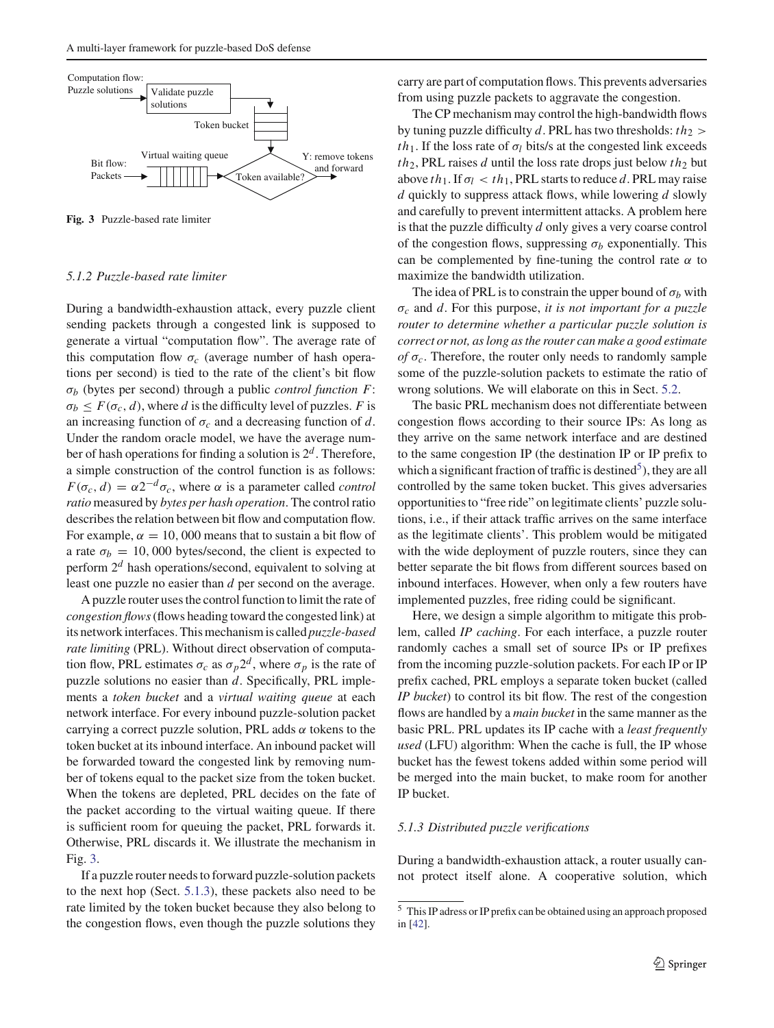

<span id="page-10-2"></span>**Fig. 3** Puzzle-based rate limiter

### <span id="page-10-0"></span>*5.1.2 Puzzle-based rate limiter*

During a bandwidth-exhaustion attack, every puzzle client sending packets through a congested link is supposed to generate a virtual "computation flow". The average rate of this computation flow  $\sigma_c$  (average number of hash operations per second) is tied to the rate of the client's bit flow σ*<sup>b</sup>* (bytes per second) through a public *control function F*:  $\sigma_b \leq F(\sigma_c, d)$ , where *d* is the difficulty level of puzzles. *F* is an increasing function of σ*<sup>c</sup>* and a decreasing function of *d*. Under the random oracle model, we have the average number of hash operations for finding a solution is  $2^d$ . Therefore, a simple construction of the control function is as follows:  $F(\sigma_c, d) = \alpha 2^{-d} \sigma_c$ , where  $\alpha$  is a parameter called *control ratio* measured by *bytes per hash operation*. The control ratio describes the relation between bit flow and computation flow. For example,  $\alpha = 10,000$  means that to sustain a bit flow of a rate  $\sigma_b = 10,000$  bytes/second, the client is expected to perform 2*<sup>d</sup>* hash operations/second, equivalent to solving at least one puzzle no easier than *d* per second on the average.

A puzzle router uses the control function to limit the rate of *congestion flows*(flows heading toward the congested link) at its network interfaces. This mechanism is called *puzzle-based rate limiting* (PRL). Without direct observation of computation flow, PRL estimates  $\sigma_c$  as  $\sigma_p 2^d$ , where  $\sigma_p$  is the rate of puzzle solutions no easier than *d*. Specifically, PRL implements a *token bucket* and a *virtual waiting queue* at each network interface. For every inbound puzzle-solution packet carrying a correct puzzle solution, PRL adds  $\alpha$  tokens to the token bucket at its inbound interface. An inbound packet will be forwarded toward the congested link by removing number of tokens equal to the packet size from the token bucket. When the tokens are depleted, PRL decides on the fate of the packet according to the virtual waiting queue. If there is sufficient room for queuing the packet, PRL forwards it. Otherwise, PRL discards it. We illustrate the mechanism in Fig. [3.](#page-10-2)

If a puzzle router needs to forward puzzle-solution packets to the next hop (Sect. [5.1.3\)](#page-10-1), these packets also need to be rate limited by the token bucket because they also belong to the congestion flows, even though the puzzle solutions they carry are part of computation flows. This prevents adversaries from using puzzle packets to aggravate the congestion.

The CP mechanism may control the high-bandwidth flows by tuning puzzle difficulty *d*. PRL has two thresholds:  $th_2$ *th*<sub>1</sub>. If the loss rate of  $\sigma_l$  bits/s at the congested link exceeds  $th_2$ , PRL raises  $d$  until the loss rate drops just below  $th_2$  but above  $th_1$ . If  $\sigma_l < th_1$ , PRL starts to reduce *d*. PRL may raise *d* quickly to suppress attack flows, while lowering *d* slowly and carefully to prevent intermittent attacks. A problem here is that the puzzle difficulty *d* only gives a very coarse control of the congestion flows, suppressing  $\sigma_b$  exponentially. This can be complemented by fine-tuning the control rate  $\alpha$  to maximize the bandwidth utilization.

The idea of PRL is to constrain the upper bound of  $\sigma_b$  with σ*<sup>c</sup>* and *d*. For this purpose, *it is not important for a puzzle router to determine whether a particular puzzle solution is correct or not, as long as the router can make a good estimate*  $of \sigma_c$ . Therefore, the router only needs to randomly sample some of the puzzle-solution packets to estimate the ratio of wrong solutions. We will elaborate on this in Sect. [5.2.](#page-11-0)

The basic PRL mechanism does not differentiate between congestion flows according to their source IPs: As long as they arrive on the same network interface and are destined to the same congestion IP (the destination IP or IP prefix to which a significant fraction of traffic is destined<sup>5</sup>), they are all controlled by the same token bucket. This gives adversaries opportunities to "free ride" on legitimate clients' puzzle solutions, i.e., if their attack traffic arrives on the same interface as the legitimate clients'. This problem would be mitigated with the wide deployment of puzzle routers, since they can better separate the bit flows from different sources based on inbound interfaces. However, when only a few routers have implemented puzzles, free riding could be significant.

Here, we design a simple algorithm to mitigate this problem, called *IP caching*. For each interface, a puzzle router randomly caches a small set of source IPs or IP prefixes from the incoming puzzle-solution packets. For each IP or IP prefix cached, PRL employs a separate token bucket (called *IP bucket*) to control its bit flow. The rest of the congestion flows are handled by a *main bucket* in the same manner as the basic PRL. PRL updates its IP cache with a *least frequently used* (LFU) algorithm: When the cache is full, the IP whose bucket has the fewest tokens added within some period will be merged into the main bucket, to make room for another IP bucket.

### <span id="page-10-1"></span>*5.1.3 Distributed puzzle verifications*

During a bandwidth-exhaustion attack, a router usually cannot protect itself alone. A cooperative solution, which

<span id="page-10-3"></span><sup>5</sup> This IP adress or IP prefix can be obtained using an approach proposed in [\[42](#page-19-5)].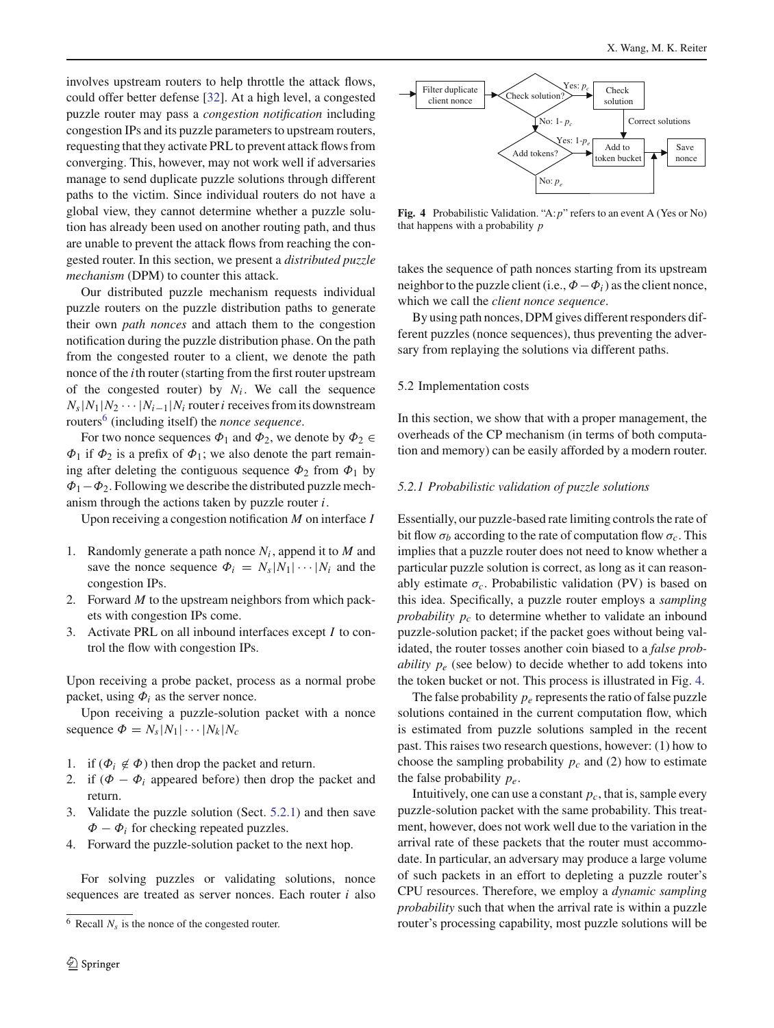involves upstream routers to help throttle the attack flows, could offer better defense [\[32](#page-19-21)]. At a high level, a congested puzzle router may pass a *congestion notification* including congestion IPs and its puzzle parameters to upstream routers, requesting that they activate PRL to prevent attack flows from converging. This, however, may not work well if adversaries manage to send duplicate puzzle solutions through different paths to the victim. Since individual routers do not have a global view, they cannot determine whether a puzzle solution has already been used on another routing path, and thus are unable to prevent the attack flows from reaching the congested router. In this section, we present a *distributed puzzle mechanism* (DPM) to counter this attack.

Our distributed puzzle mechanism requests individual puzzle routers on the puzzle distribution paths to generate their own *path nonces* and attach them to the congestion notification during the puzzle distribution phase. On the path from the congested router to a client, we denote the path nonce of the *i*th router (starting from the first router upstream of the congested router) by  $N_i$ . We call the sequence  $N_s|N_1|N_2\cdots|N_{i-1}|N_i$  router *i* receives from its downstream routers[6](#page-11-1) (including itself) the *nonce sequence*.

For two nonce sequences  $\Phi_1$  and  $\Phi_2$ , we denote by  $\Phi_2 \in$  $\Phi_1$  if  $\Phi_2$  is a prefix of  $\Phi_1$ ; we also denote the part remaining after deleting the contiguous sequence  $\Phi_2$  from  $\Phi_1$  by  $\Phi_1-\Phi_2$ . Following we describe the distributed puzzle mechanism through the actions taken by puzzle router *i*.

Upon receiving a congestion notification *M* on interface *I*

- 1. Randomly generate a path nonce *Ni* , append it to *M* and save the nonce sequence  $\Phi_i = N_s |N_1| \cdots |N_i$  and the congestion IPs.
- 2. Forward *M* to the upstream neighbors from which packets with congestion IPs come.
- 3. Activate PRL on all inbound interfaces except *I* to control the flow with congestion IPs.

Upon receiving a probe packet, process as a normal probe packet, using  $\Phi_i$  as the server nonce.

Upon receiving a puzzle-solution packet with a nonce sequence  $\Phi = N_s \vert N_1 \vert \cdots \vert N_k \vert N_c$ 

- 1. if  $(\Phi_i \notin \Phi)$  then drop the packet and return.
- 2. if  $(\Phi \Phi_i)$  appeared before) then drop the packet and return.
- 3. Validate the puzzle solution (Sect. [5.2.1\)](#page-11-2) and then save  $\Phi - \Phi_i$  for checking repeated puzzles.
- 4. Forward the puzzle-solution packet to the next hop.

For solving puzzles or validating solutions, nonce sequences are treated as server nonces. Each router *i* also



<span id="page-11-3"></span>**Fig. 4** Probabilistic Validation. "A:*p*" refers to an event A (Yes or No) that happens with a probability *p*

takes the sequence of path nonces starting from its upstream neighbor to the puzzle client (i.e.,  $\Phi - \Phi_i$ ) as the client nonce, which we call the *client nonce sequence*.

By using path nonces, DPM gives different responders different puzzles (nonce sequences), thus preventing the adversary from replaying the solutions via different paths.

### <span id="page-11-0"></span>5.2 Implementation costs

In this section, we show that with a proper management, the overheads of the CP mechanism (in terms of both computation and memory) can be easily afforded by a modern router.

### <span id="page-11-2"></span>*5.2.1 Probabilistic validation of puzzle solutions*

Essentially, our puzzle-based rate limiting controls the rate of bit flow  $\sigma_b$  according to the rate of computation flow  $\sigma_c$ . This implies that a puzzle router does not need to know whether a particular puzzle solution is correct, as long as it can reasonably estimate  $\sigma_c$ . Probabilistic validation (PV) is based on this idea. Specifically, a puzzle router employs a *sampling probability pc* to determine whether to validate an inbound puzzle-solution packet; if the packet goes without being validated, the router tosses another coin biased to a *false probability pe* (see below) to decide whether to add tokens into the token bucket or not. This process is illustrated in Fig. [4.](#page-11-3)

The false probability  $p_e$  represents the ratio of false puzzle solutions contained in the current computation flow, which is estimated from puzzle solutions sampled in the recent past. This raises two research questions, however: (1) how to choose the sampling probability  $p_c$  and (2) how to estimate the false probability *pe*.

Intuitively, one can use a constant  $p_c$ , that is, sample every puzzle-solution packet with the same probability. This treatment, however, does not work well due to the variation in the arrival rate of these packets that the router must accommodate. In particular, an adversary may produce a large volume of such packets in an effort to depleting a puzzle router's CPU resources. Therefore, we employ a *dynamic sampling probability* such that when the arrival rate is within a puzzle router's processing capability, most puzzle solutions will be

<span id="page-11-1"></span> $6$  Recall  $N_s$  is the nonce of the congested router.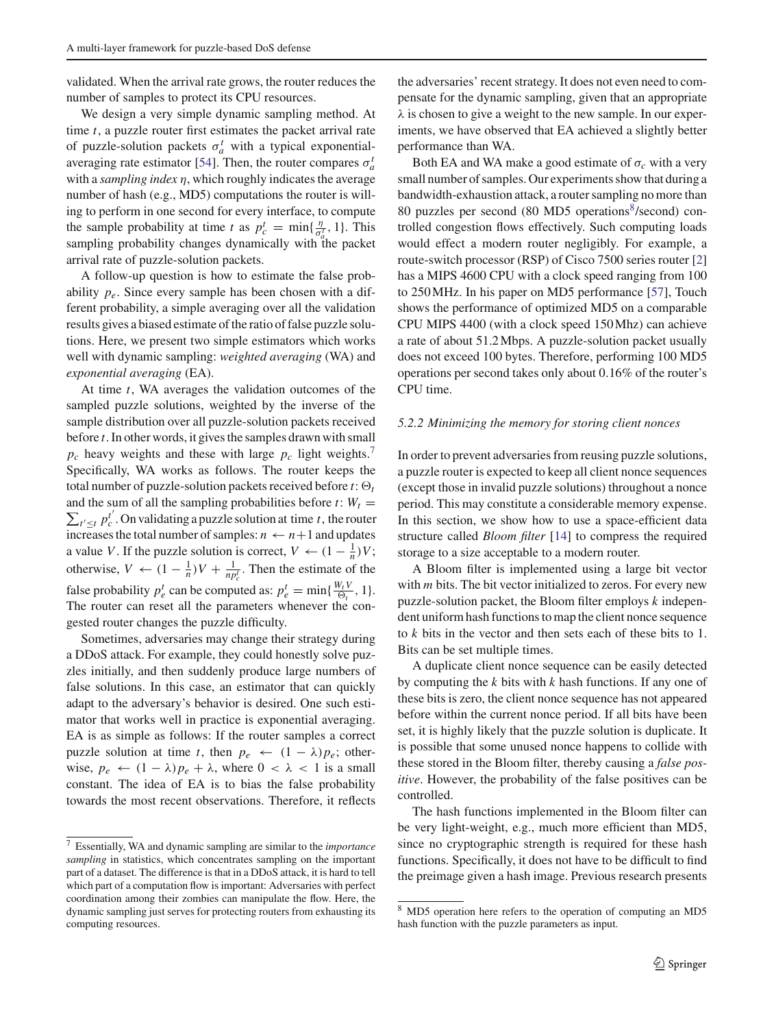validated. When the arrival rate grows, the router reduces the number of samples to protect its CPU resources.

We design a very simple dynamic sampling method. At time *t*, a puzzle router first estimates the packet arrival rate of puzzle-solution packets  $\sigma_a^t$  with a typical exponential-averaging rate estimator [\[54](#page-19-36)]. Then, the router compares  $\sigma_a^t$ with a *sampling index* η, which roughly indicates the average number of hash (e.g., MD5) computations the router is willing to perform in one second for every interface, to compute the sample probability at time *t* as  $p_c^t = \min\{\frac{\eta}{\sigma_a^t}, 1\}$ . This sampling probability changes dynamically with the packet arrival rate of puzzle-solution packets.

A follow-up question is how to estimate the false probability *pe*. Since every sample has been chosen with a different probability, a simple averaging over all the validation results gives a biased estimate of the ratio of false puzzle solutions. Here, we present two simple estimators which works well with dynamic sampling: *weighted averaging* (WA) and *exponential averaging* (EA).

At time *t*, WA averages the validation outcomes of the sampled puzzle solutions, weighted by the inverse of the sample distribution over all puzzle-solution packets received before *t*. In other words, it gives the samples drawn with small  $p_c$  heavy weights and these with large  $p_c$  light weights.<sup>[7](#page-12-0)</sup> Specifically, WA works as follows. The router keeps the total number of puzzle-solution packets received before  $t: \Theta_t$ and the sum of all the sampling probabilities before  $t: W_t =$  $\sum_{t' \leq t} p_c^{t'}$ . On validating a puzzle solution at time *t*, the router increases the total number of samples:  $n \leftarrow n+1$  and updates a value *V*. If the puzzle solution is correct,  $V \leftarrow (1 - \frac{1}{n})V$ ; otherwise,  $V \leftarrow (1 - \frac{1}{n})V + \frac{1}{np_c^t}$ . Then the estimate of the false probability  $p_e^t$  can be computed as:  $p_e^t = \min\{\frac{W_t V}{\Theta_t}, 1\}.$ The router can reset all the parameters whenever the congested router changes the puzzle difficulty.

Sometimes, adversaries may change their strategy during a DDoS attack. For example, they could honestly solve puzzles initially, and then suddenly produce large numbers of false solutions. In this case, an estimator that can quickly adapt to the adversary's behavior is desired. One such estimator that works well in practice is exponential averaging. EA is as simple as follows: If the router samples a correct puzzle solution at time *t*, then  $p_e \leftarrow (1 - \lambda)p_e$ ; otherwise,  $p_e \leftarrow (1 - \lambda)p_e + \lambda$ , where  $0 < \lambda < 1$  is a small constant. The idea of EA is to bias the false probability towards the most recent observations. Therefore, it reflects

the adversaries' recent strategy. It does not even need to compensate for the dynamic sampling, given that an appropriate  $\lambda$  is chosen to give a weight to the new sample. In our experiments, we have observed that EA achieved a slightly better performance than WA.

Both EA and WA make a good estimate of  $\sigma_c$  with a very small number of samples. Our experiments show that during a bandwidth-exhaustion attack, a router sampling no more than [8](#page-12-1)0 puzzles per second (80 MD5 operations $\delta$ /second) controlled congestion flows effectively. Such computing loads would effect a modern router negligibly. For example, a route-switch processor (RSP) of Cisco 7500 series router [\[2\]](#page-18-21) has a MIPS 4600 CPU with a clock speed ranging from 100 to 250 MHz. In his paper on MD5 performance [\[57](#page-19-37)], Touch shows the performance of optimized MD5 on a comparable CPU MIPS 4400 (with a clock speed 150 Mhz) can achieve a rate of about 51.2 Mbps. A puzzle-solution packet usually does not exceed 100 bytes. Therefore, performing 100 MD5 operations per second takes only about 0.16% of the router's CPU time.

#### *5.2.2 Minimizing the memory for storing client nonces*

In order to prevent adversaries from reusing puzzle solutions, a puzzle router is expected to keep all client nonce sequences (except those in invalid puzzle solutions) throughout a nonce period. This may constitute a considerable memory expense. In this section, we show how to use a space-efficient data structure called *Bloom filter* [\[14\]](#page-18-22) to compress the required storage to a size acceptable to a modern router.

A Bloom filter is implemented using a large bit vector with *m* bits. The bit vector initialized to zeros. For every new puzzle-solution packet, the Bloom filter employs *k* independent uniform hash functions to map the client nonce sequence to *k* bits in the vector and then sets each of these bits to 1. Bits can be set multiple times.

A duplicate client nonce sequence can be easily detected by computing the *k* bits with *k* hash functions. If any one of these bits is zero, the client nonce sequence has not appeared before within the current nonce period. If all bits have been set, it is highly likely that the puzzle solution is duplicate. It is possible that some unused nonce happens to collide with these stored in the Bloom filter, thereby causing a *false positive*. However, the probability of the false positives can be controlled.

The hash functions implemented in the Bloom filter can be very light-weight, e.g., much more efficient than MD5, since no cryptographic strength is required for these hash functions. Specifically, it does not have to be difficult to find the preimage given a hash image. Previous research presents

<span id="page-12-0"></span><sup>7</sup> Essentially, WA and dynamic sampling are similar to the *importance sampling* in statistics, which concentrates sampling on the important part of a dataset. The difference is that in a DDoS attack, it is hard to tell which part of a computation flow is important: Adversaries with perfect coordination among their zombies can manipulate the flow. Here, the dynamic sampling just serves for protecting routers from exhausting its computing resources.

<span id="page-12-1"></span><sup>8</sup> MD5 operation here refers to the operation of computing an MD5 hash function with the puzzle parameters as input.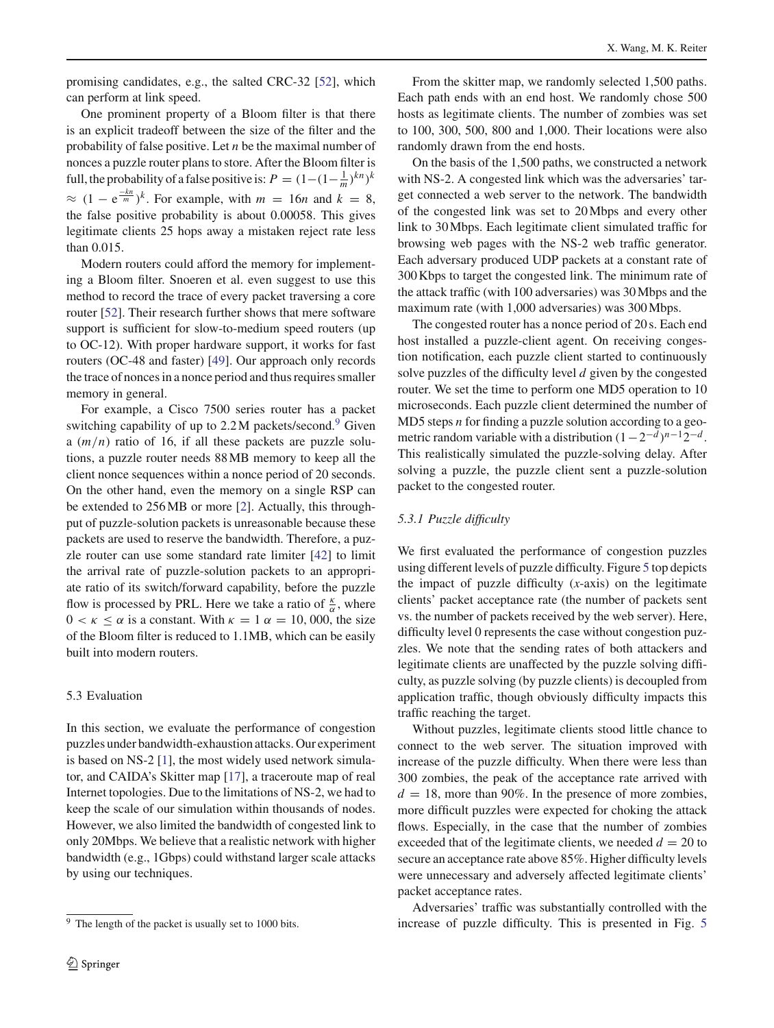promising candidates, e.g., the salted CRC-32 [\[52\]](#page-19-12), which can perform at link speed.

One prominent property of a Bloom filter is that there is an explicit tradeoff between the size of the filter and the probability of false positive. Let *n* be the maximal number of nonces a puzzle router plans to store. After the Bloom filter is full, the probability of a false positive is:  $P = (1 - (1 - \frac{1}{m})^{kn})^k$  $\approx (1 - e^{\frac{-kn}{m}})^k$ . For example, with  $m = 16n$  and  $k = 8$ , the false positive probability is about 0.00058. This gives legitimate clients 25 hops away a mistaken reject rate less than 0.015.

Modern routers could afford the memory for implementing a Bloom filter. Snoeren et al. even suggest to use this method to record the trace of every packet traversing a core router [\[52\]](#page-19-12). Their research further shows that mere software support is sufficient for slow-to-medium speed routers (up to OC-12). With proper hardware support, it works for fast routers (OC-48 and faster) [\[49](#page-19-38)]. Our approach only records the trace of nonces in a nonce period and thus requires smaller memory in general.

For example, a Cisco 7500 series router has a packet switching capability of up to  $2.2 M$  packets/second.<sup>[9](#page-13-0)</sup> Given a  $(m/n)$  ratio of 16, if all these packets are puzzle solutions, a puzzle router needs 88 MB memory to keep all the client nonce sequences within a nonce period of 20 seconds. On the other hand, even the memory on a single RSP can be extended to 256 MB or more [\[2\]](#page-18-21). Actually, this throughput of puzzle-solution packets is unreasonable because these packets are used to reserve the bandwidth. Therefore, a puzzle router can use some standard rate limiter [\[42](#page-19-5)] to limit the arrival rate of puzzle-solution packets to an appropriate ratio of its switch/forward capability, before the puzzle flow is processed by PRL. Here we take a ratio of  $\frac{\kappa}{\alpha}$ , where  $0 < \kappa \le \alpha$  is a constant. With  $\kappa = 1 \alpha = 10,000$ , the size of the Bloom filter is reduced to 1.1MB, which can be easily built into modern routers.

### 5.3 Evaluation

In this section, we evaluate the performance of congestion puzzles under bandwidth-exhaustion attacks. Our experiment is based on NS-2 [\[1](#page-18-23)], the most widely used network simulator, and CAIDA's Skitter map [\[17](#page-18-24)], a traceroute map of real Internet topologies. Due to the limitations of NS-2, we had to keep the scale of our simulation within thousands of nodes. However, we also limited the bandwidth of congested link to only 20Mbps. We believe that a realistic network with higher bandwidth (e.g., 1Gbps) could withstand larger scale attacks by using our techniques.

From the skitter map, we randomly selected 1,500 paths. Each path ends with an end host. We randomly chose 500 hosts as legitimate clients. The number of zombies was set to 100, 300, 500, 800 and 1,000. Their locations were also randomly drawn from the end hosts.

On the basis of the 1,500 paths, we constructed a network with NS-2. A congested link which was the adversaries' target connected a web server to the network. The bandwidth of the congested link was set to 20 Mbps and every other link to 30 Mbps. Each legitimate client simulated traffic for browsing web pages with the NS-2 web traffic generator. Each adversary produced UDP packets at a constant rate of 300 Kbps to target the congested link. The minimum rate of the attack traffic (with 100 adversaries) was 30 Mbps and the maximum rate (with 1,000 adversaries) was 300 Mbps.

The congested router has a nonce period of 20 s. Each end host installed a puzzle-client agent. On receiving congestion notification, each puzzle client started to continuously solve puzzles of the difficulty level *d* given by the congested router. We set the time to perform one MD5 operation to 10 microseconds. Each puzzle client determined the number of MD5 steps *n* for finding a puzzle solution according to a geometric random variable with a distribution  $(1-2^{-d})^{n-1}2^{-d}$ . This realistically simulated the puzzle-solving delay. After solving a puzzle, the puzzle client sent a puzzle-solution packet to the congested router.

# *5.3.1 Puzzle difficulty*

We first evaluated the performance of congestion puzzles using different levels of puzzle difficulty. Figure [5](#page-14-0) top depicts the impact of puzzle difficulty (*x*-axis) on the legitimate clients' packet acceptance rate (the number of packets sent vs. the number of packets received by the web server). Here, difficulty level 0 represents the case without congestion puzzles. We note that the sending rates of both attackers and legitimate clients are unaffected by the puzzle solving difficulty, as puzzle solving (by puzzle clients) is decoupled from application traffic, though obviously difficulty impacts this traffic reaching the target.

Without puzzles, legitimate clients stood little chance to connect to the web server. The situation improved with increase of the puzzle difficulty. When there were less than 300 zombies, the peak of the acceptance rate arrived with  $d = 18$ , more than 90%. In the presence of more zombies, more difficult puzzles were expected for choking the attack flows. Especially, in the case that the number of zombies exceeded that of the legitimate clients, we needed  $d = 20$  to secure an acceptance rate above 85%. Higher difficulty levels were unnecessary and adversely affected legitimate clients' packet acceptance rates.

Adversaries' traffic was substantially controlled with the increase of puzzle difficulty. This is presented in Fig. [5](#page-14-0)

<span id="page-13-0"></span> $9\text{ The length of the packet is usually set to } 1000 \text{ bits.}$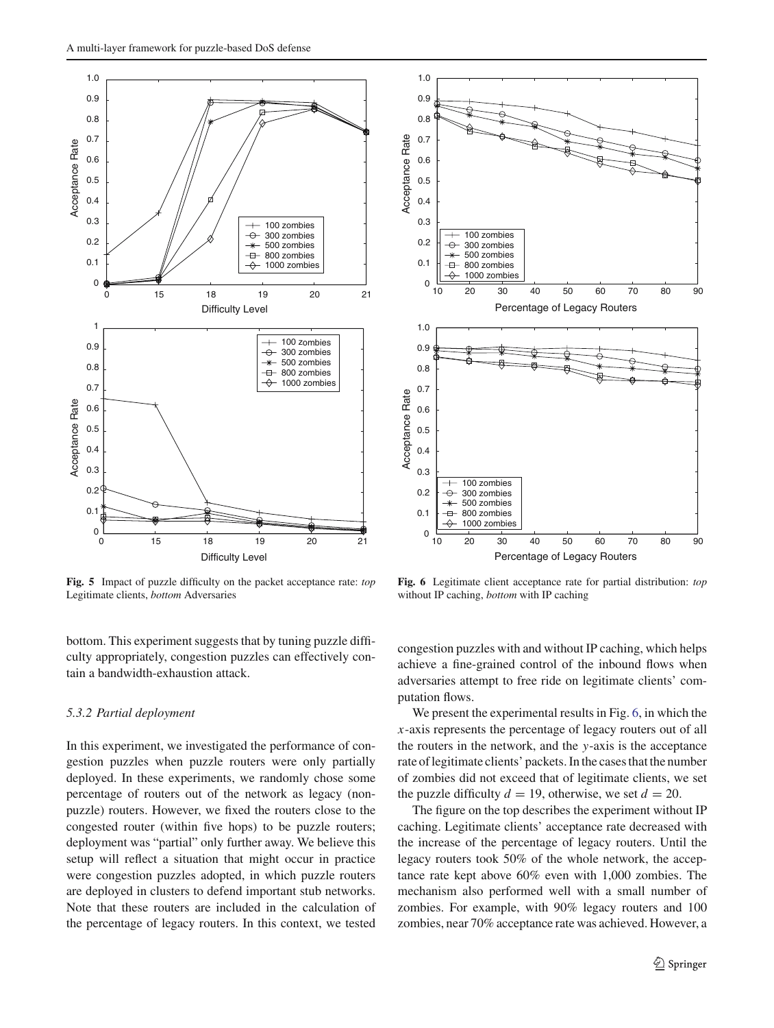

<span id="page-14-0"></span>**Fig. 5** Impact of puzzle difficulty on the packet acceptance rate: *top* Legitimate clients, *bottom* Adversaries

bottom. This experiment suggests that by tuning puzzle difficulty appropriately, congestion puzzles can effectively contain a bandwidth-exhaustion attack.

### *5.3.2 Partial deployment*

In this experiment, we investigated the performance of congestion puzzles when puzzle routers were only partially deployed. In these experiments, we randomly chose some percentage of routers out of the network as legacy (nonpuzzle) routers. However, we fixed the routers close to the congested router (within five hops) to be puzzle routers; deployment was "partial" only further away. We believe this setup will reflect a situation that might occur in practice were congestion puzzles adopted, in which puzzle routers are deployed in clusters to defend important stub networks. Note that these routers are included in the calculation of the percentage of legacy routers. In this context, we tested



<span id="page-14-1"></span>**Fig. 6** Legitimate client acceptance rate for partial distribution: *top* without IP caching, *bottom* with IP caching

congestion puzzles with and without IP caching, which helps achieve a fine-grained control of the inbound flows when adversaries attempt to free ride on legitimate clients' computation flows.

We present the experimental results in Fig. [6,](#page-14-1) in which the *x*-axis represents the percentage of legacy routers out of all the routers in the network, and the *y*-axis is the acceptance rate of legitimate clients' packets. In the cases that the number of zombies did not exceed that of legitimate clients, we set the puzzle difficulty  $d = 19$ , otherwise, we set  $d = 20$ .

The figure on the top describes the experiment without IP caching. Legitimate clients' acceptance rate decreased with the increase of the percentage of legacy routers. Until the legacy routers took 50% of the whole network, the acceptance rate kept above 60% even with 1,000 zombies. The mechanism also performed well with a small number of zombies. For example, with 90% legacy routers and 100 zombies, near 70% acceptance rate was achieved. However, a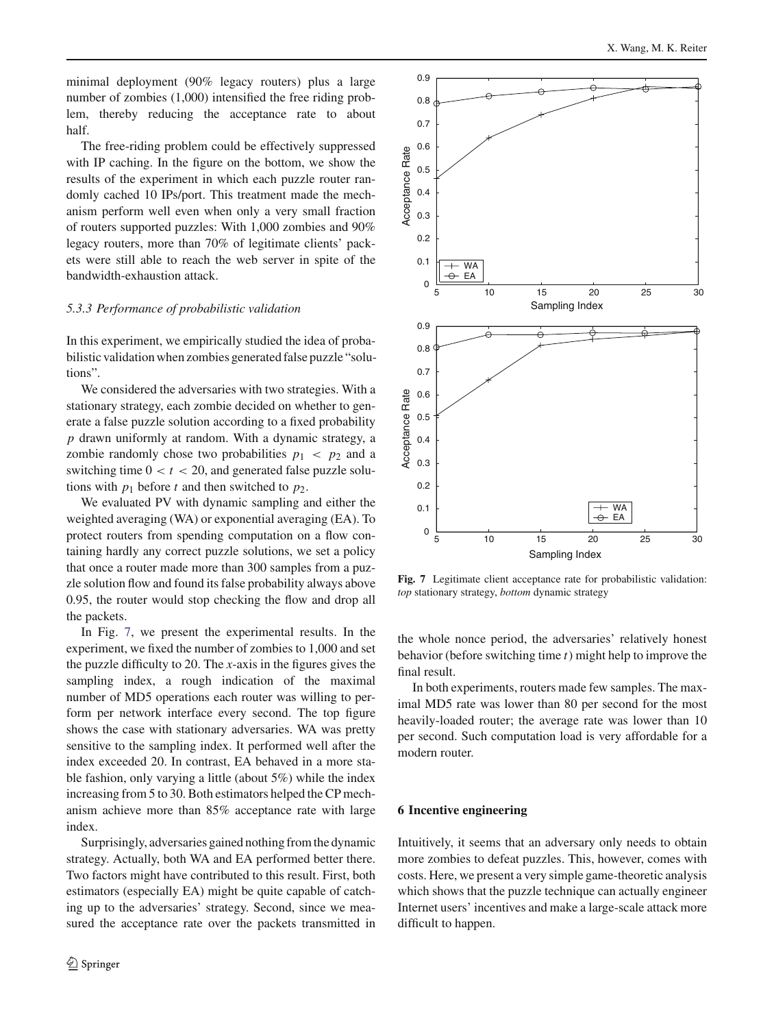minimal deployment (90% legacy routers) plus a large number of zombies (1,000) intensified the free riding problem, thereby reducing the acceptance rate to about half.

The free-riding problem could be effectively suppressed with IP caching. In the figure on the bottom, we show the results of the experiment in which each puzzle router randomly cached 10 IPs/port. This treatment made the mechanism perform well even when only a very small fraction of routers supported puzzles: With 1,000 zombies and 90% legacy routers, more than 70% of legitimate clients' packets were still able to reach the web server in spite of the bandwidth-exhaustion attack.

# *5.3.3 Performance of probabilistic validation*

In this experiment, we empirically studied the idea of probabilistic validation when zombies generated false puzzle "solutions".

We considered the adversaries with two strategies. With a stationary strategy, each zombie decided on whether to generate a false puzzle solution according to a fixed probability *p* drawn uniformly at random. With a dynamic strategy, a zombie randomly chose two probabilities  $p_1 < p_2$  and a switching time  $0 < t < 20$ , and generated false puzzle solutions with  $p_1$  before *t* and then switched to  $p_2$ .

We evaluated PV with dynamic sampling and either the weighted averaging (WA) or exponential averaging (EA). To protect routers from spending computation on a flow containing hardly any correct puzzle solutions, we set a policy that once a router made more than 300 samples from a puzzle solution flow and found its false probability always above 0.95, the router would stop checking the flow and drop all the packets.

In Fig. [7,](#page-15-0) we present the experimental results. In the experiment, we fixed the number of zombies to 1,000 and set the puzzle difficulty to 20. The *x*-axis in the figures gives the sampling index, a rough indication of the maximal number of MD5 operations each router was willing to perform per network interface every second. The top figure shows the case with stationary adversaries. WA was pretty sensitive to the sampling index. It performed well after the index exceeded 20. In contrast, EA behaved in a more stable fashion, only varying a little (about 5%) while the index increasing from 5 to 30. Both estimators helped the CP mechanism achieve more than 85% acceptance rate with large index.

Surprisingly, adversaries gained nothing from the dynamic strategy. Actually, both WA and EA performed better there. Two factors might have contributed to this result. First, both estimators (especially EA) might be quite capable of catching up to the adversaries' strategy. Second, since we measured the acceptance rate over the packets transmitted in



<span id="page-15-0"></span>Fig. 7 Legitimate client acceptance rate for probabilistic validation: *top* stationary strategy, *bottom* dynamic strategy

the whole nonce period, the adversaries' relatively honest behavior (before switching time *t*) might help to improve the final result.

In both experiments, routers made few samples. The maximal MD5 rate was lower than 80 per second for the most heavily-loaded router; the average rate was lower than 10 per second. Such computation load is very affordable for a modern router.

### **6 Incentive engineering**

Intuitively, it seems that an adversary only needs to obtain more zombies to defeat puzzles. This, however, comes with costs. Here, we present a very simple game-theoretic analysis which shows that the puzzle technique can actually engineer Internet users' incentives and make a large-scale attack more difficult to happen.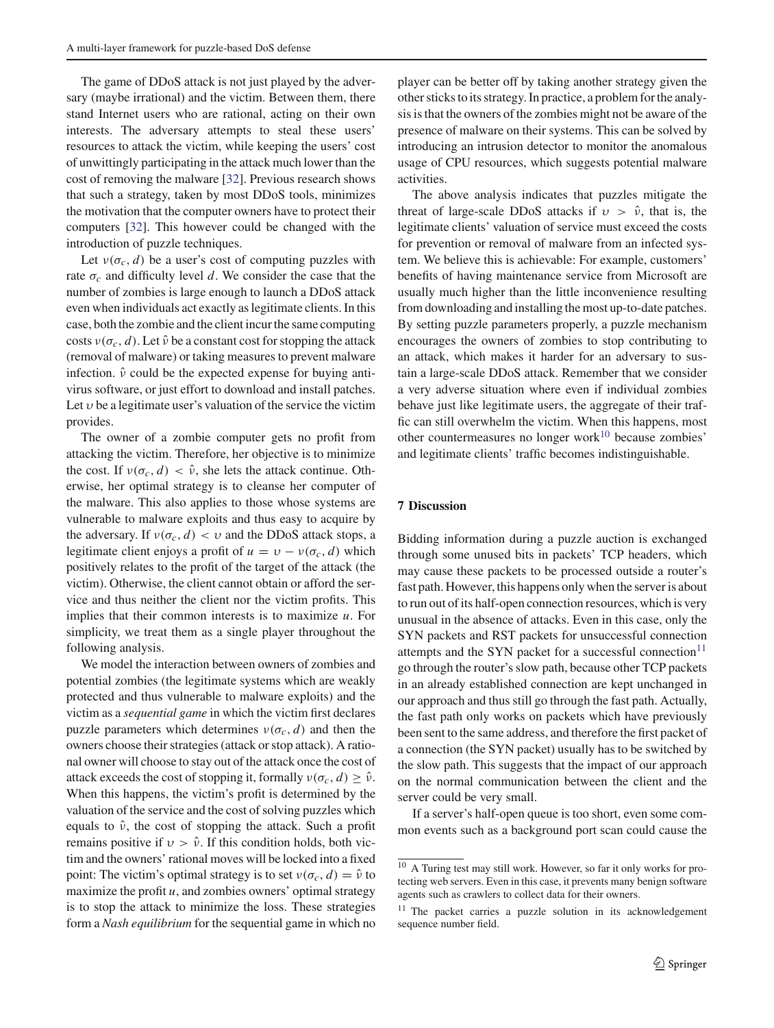The game of DDoS attack is not just played by the adversary (maybe irrational) and the victim. Between them, there stand Internet users who are rational, acting on their own interests. The adversary attempts to steal these users' resources to attack the victim, while keeping the users' cost of unwittingly participating in the attack much lower than the cost of removing the malware [\[32](#page-19-21)]. Previous research shows that such a strategy, taken by most DDoS tools, minimizes the motivation that the computer owners have to protect their computers [\[32\]](#page-19-21). This however could be changed with the introduction of puzzle techniques.

Let  $v(\sigma_c, d)$  be a user's cost of computing puzzles with rate  $\sigma_c$  and difficulty level *d*. We consider the case that the number of zombies is large enough to launch a DDoS attack even when individuals act exactly as legitimate clients. In this case, both the zombie and the client incur the same computing costs  $v(\sigma_c, d)$ . Let  $\hat{v}$  be a constant cost for stopping the attack (removal of malware) or taking measures to prevent malware infection.  $\hat{v}$  could be the expected expense for buying antivirus software, or just effort to download and install patches. Let  $v$  be a legitimate user's valuation of the service the victim provides.

The owner of a zombie computer gets no profit from attacking the victim. Therefore, her objective is to minimize the cost. If  $\nu(\sigma_c, d) < \hat{\nu}$ , she lets the attack continue. Otherwise, her optimal strategy is to cleanse her computer of the malware. This also applies to those whose systems are vulnerable to malware exploits and thus easy to acquire by the adversary. If  $\nu(\sigma_c, d) < v$  and the DDoS attack stops, a legitimate client enjoys a profit of  $u = v - v(\sigma_c, d)$  which positively relates to the profit of the target of the attack (the victim). Otherwise, the client cannot obtain or afford the service and thus neither the client nor the victim profits. This implies that their common interests is to maximize *u*. For simplicity, we treat them as a single player throughout the following analysis.

We model the interaction between owners of zombies and potential zombies (the legitimate systems which are weakly protected and thus vulnerable to malware exploits) and the victim as a *sequential game* in which the victim first declares puzzle parameters which determines  $v(\sigma_c, d)$  and then the owners choose their strategies (attack or stop attack). A rational owner will choose to stay out of the attack once the cost of attack exceeds the cost of stopping it, formally  $v(\sigma_c, d) \geq \hat{v}$ . When this happens, the victim's profit is determined by the valuation of the service and the cost of solving puzzles which equals to  $\hat{v}$ , the cost of stopping the attack. Such a profit remains positive if  $v > \hat{v}$ . If this condition holds, both victim and the owners' rational moves will be locked into a fixed point: The victim's optimal strategy is to set  $v(\sigma_c, d) = \hat{v}$  to maximize the profit *u*, and zombies owners' optimal strategy is to stop the attack to minimize the loss. These strategies form a *Nash equilibrium* for the sequential game in which no

player can be better off by taking another strategy given the other sticks to its strategy. In practice, a problem for the analysis is that the owners of the zombies might not be aware of the presence of malware on their systems. This can be solved by introducing an intrusion detector to monitor the anomalous usage of CPU resources, which suggests potential malware activities.

The above analysis indicates that puzzles mitigate the threat of large-scale DDoS attacks if  $v > \hat{v}$ , that is, the legitimate clients' valuation of service must exceed the costs for prevention or removal of malware from an infected system. We believe this is achievable: For example, customers' benefits of having maintenance service from Microsoft are usually much higher than the little inconvenience resulting from downloading and installing the most up-to-date patches. By setting puzzle parameters properly, a puzzle mechanism encourages the owners of zombies to stop contributing to an attack, which makes it harder for an adversary to sustain a large-scale DDoS attack. Remember that we consider a very adverse situation where even if individual zombies behave just like legitimate users, the aggregate of their traffic can still overwhelm the victim. When this happens, most other countermeasures no longer work $10$  because zombies' and legitimate clients' traffic becomes indistinguishable.

### **7 Discussion**

Bidding information during a puzzle auction is exchanged through some unused bits in packets' TCP headers, which may cause these packets to be processed outside a router's fast path. However, this happens only when the server is about to run out of its half-open connection resources, which is very unusual in the absence of attacks. Even in this case, only the SYN packets and RST packets for unsuccessful connection attempts and the SYN packet for a successful connection $11$ go through the router's slow path, because other TCP packets in an already established connection are kept unchanged in our approach and thus still go through the fast path. Actually, the fast path only works on packets which have previously been sent to the same address, and therefore the first packet of a connection (the SYN packet) usually has to be switched by the slow path. This suggests that the impact of our approach on the normal communication between the client and the server could be very small.

If a server's half-open queue is too short, even some common events such as a background port scan could cause the

<span id="page-16-0"></span><sup>10</sup> A Turing test may still work. However, so far it only works for protecting web servers. Even in this case, it prevents many benign software agents such as crawlers to collect data for their owners.

<span id="page-16-1"></span><sup>&</sup>lt;sup>11</sup> The packet carries a puzzle solution in its acknowledgement sequence number field.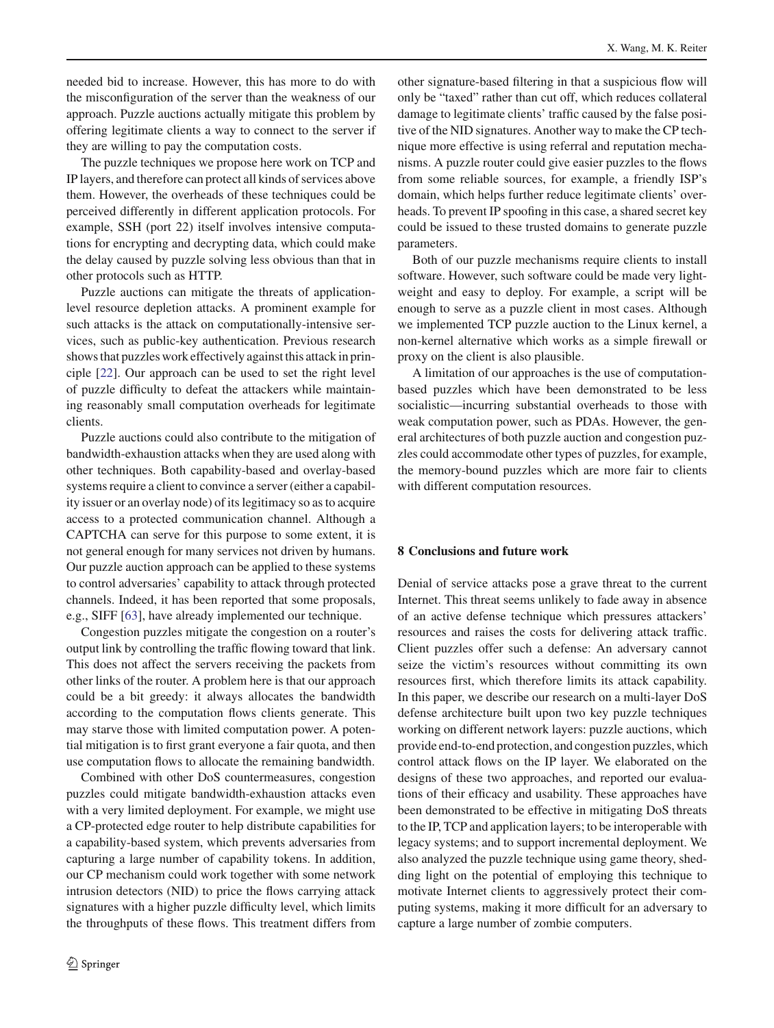needed bid to increase. However, this has more to do with the misconfiguration of the server than the weakness of our approach. Puzzle auctions actually mitigate this problem by offering legitimate clients a way to connect to the server if they are willing to pay the computation costs.

The puzzle techniques we propose here work on TCP and IP layers, and therefore can protect all kinds of services above them. However, the overheads of these techniques could be perceived differently in different application protocols. For example, SSH (port 22) itself involves intensive computations for encrypting and decrypting data, which could make the delay caused by puzzle solving less obvious than that in other protocols such as HTTP.

Puzzle auctions can mitigate the threats of applicationlevel resource depletion attacks. A prominent example for such attacks is the attack on computationally-intensive services, such as public-key authentication. Previous research shows that puzzles work effectively against this attack in principle [\[22](#page-18-3)]. Our approach can be used to set the right level of puzzle difficulty to defeat the attackers while maintaining reasonably small computation overheads for legitimate clients.

Puzzle auctions could also contribute to the mitigation of bandwidth-exhaustion attacks when they are used along with other techniques. Both capability-based and overlay-based systems require a client to convince a server (either a capability issuer or an overlay node) of its legitimacy so as to acquire access to a protected communication channel. Although a CAPTCHA can serve for this purpose to some extent, it is not general enough for many services not driven by humans. Our puzzle auction approach can be applied to these systems to control adversaries' capability to attack through protected channels. Indeed, it has been reported that some proposals, e.g., SIFF [\[63](#page-19-10)], have already implemented our technique.

Congestion puzzles mitigate the congestion on a router's output link by controlling the traffic flowing toward that link. This does not affect the servers receiving the packets from other links of the router. A problem here is that our approach could be a bit greedy: it always allocates the bandwidth according to the computation flows clients generate. This may starve those with limited computation power. A potential mitigation is to first grant everyone a fair quota, and then use computation flows to allocate the remaining bandwidth.

Combined with other DoS countermeasures, congestion puzzles could mitigate bandwidth-exhaustion attacks even with a very limited deployment. For example, we might use a CP-protected edge router to help distribute capabilities for a capability-based system, which prevents adversaries from capturing a large number of capability tokens. In addition, our CP mechanism could work together with some network intrusion detectors (NID) to price the flows carrying attack signatures with a higher puzzle difficulty level, which limits the throughputs of these flows. This treatment differs from other signature-based filtering in that a suspicious flow will only be "taxed" rather than cut off, which reduces collateral damage to legitimate clients' traffic caused by the false positive of the NID signatures. Another way to make the CP technique more effective is using referral and reputation mechanisms. A puzzle router could give easier puzzles to the flows from some reliable sources, for example, a friendly ISP's domain, which helps further reduce legitimate clients' overheads. To prevent IP spoofing in this case, a shared secret key could be issued to these trusted domains to generate puzzle parameters.

Both of our puzzle mechanisms require clients to install software. However, such software could be made very lightweight and easy to deploy. For example, a script will be enough to serve as a puzzle client in most cases. Although we implemented TCP puzzle auction to the Linux kernel, a non-kernel alternative which works as a simple firewall or proxy on the client is also plausible.

A limitation of our approaches is the use of computationbased puzzles which have been demonstrated to be less socialistic—incurring substantial overheads to those with weak computation power, such as PDAs. However, the general architectures of both puzzle auction and congestion puzzles could accommodate other types of puzzles, for example, the memory-bound puzzles which are more fair to clients with different computation resources.

# **8 Conclusions and future work**

Denial of service attacks pose a grave threat to the current Internet. This threat seems unlikely to fade away in absence of an active defense technique which pressures attackers' resources and raises the costs for delivering attack traffic. Client puzzles offer such a defense: An adversary cannot seize the victim's resources without committing its own resources first, which therefore limits its attack capability. In this paper, we describe our research on a multi-layer DoS defense architecture built upon two key puzzle techniques working on different network layers: puzzle auctions, which provide end-to-end protection, and congestion puzzles, which control attack flows on the IP layer. We elaborated on the designs of these two approaches, and reported our evaluations of their efficacy and usability. These approaches have been demonstrated to be effective in mitigating DoS threats to the IP, TCP and application layers; to be interoperable with legacy systems; and to support incremental deployment. We also analyzed the puzzle technique using game theory, shedding light on the potential of employing this technique to motivate Internet clients to aggressively protect their computing systems, making it more difficult for an adversary to capture a large number of zombie computers.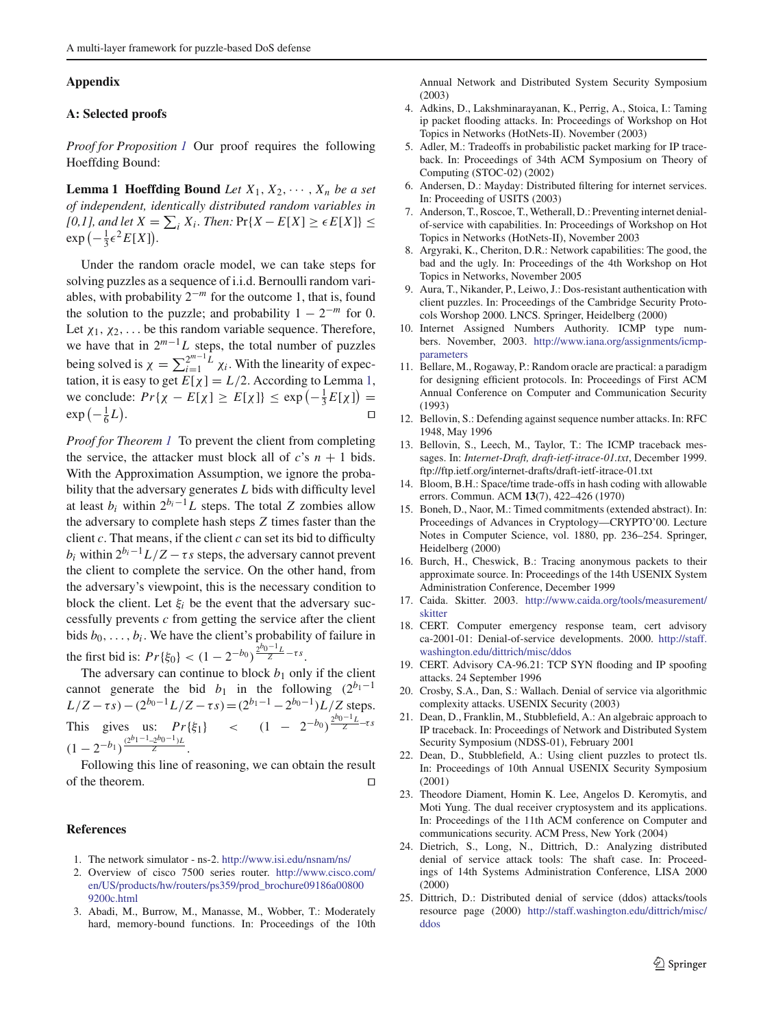### **Appendix**

# **A: Selected proofs**

<span id="page-18-25"></span>*Proof for Proposition [1](#page-5-0)* Our proof requires the following Hoeffding Bound:

**Lemma 1 Hoeffding Bound** *Let*  $X_1, X_2, \cdots, X_n$  *be a set of independent, identically distributed random variables in [0,1], and let X* =  $\sum_i X_i$ *. Then:*  $Pr{X - E[X] \ge \epsilon E[X]}$  ≤  $\exp\left(-\frac{1}{3}\epsilon^2 E[X]\right).$ 

Under the random oracle model, we can take steps for solving puzzles as a sequence of i.i.d. Bernoulli random variables, with probability  $2^{-m}$  for the outcome 1, that is, found the solution to the puzzle; and probability  $1 - 2^{-m}$  for 0. Let  $\chi_1, \chi_2, \ldots$  be this random variable sequence. Therefore, we have that in  $2^{m-1}L$  steps, the total number of puzzles being solved is  $\chi = \sum_{i=1}^{2^{m-1}L} \chi_i$ . With the linearity of expectation, it is easy to get  $E[\chi] = L/2$ . According to Lemma [1,](#page-18-25) we conclude:  $Pr\{\chi - E[\chi] \ge E[\chi]\} \le \exp(-\frac{1}{3}E[\chi])$  $\exp\left(-\frac{1}{6}L\right)$ .

*Proof for Theorem [1](#page-5-2)* To prevent the client from completing the service, the attacker must block all of  $c's$   $n + 1$  bids. With the Approximation Assumption, we ignore the probability that the adversary generates *L* bids with difficulty level at least  $b_i$  within  $2^{b_i-1}L$  steps. The total *Z* zombies allow the adversary to complete hash steps *Z* times faster than the client *c*. That means, if the client *c* can set its bid to difficulty *b<sub>i</sub>* within  $2^{b_i-1}L/Z - \tau s$  steps, the adversary cannot prevent the client to complete the service. On the other hand, from the adversary's viewpoint, this is the necessary condition to block the client. Let  $\xi$ <sup>*i*</sup> be the event that the adversary successfully prevents *c* from getting the service after the client bids  $b_0, \ldots, b_i$ . We have the client's probability of failure in the first bid is:  $Pr{\{\xi_0\}} < (1 - 2^{-b_0})^{\frac{2b_0 - 1_L}{Z} - \tau s}$ .

The adversary can continue to block  $b_1$  only if the client cannot generate the bid  $b_1$  in the following  $(2^{b_1-1})$  $L/Z - \tau s$ ) – (2<sup>*b*0−1</sup> $L/Z - \tau s$ ) = (2<sup>*b*1−1</sup> – 2<sup>*b*0−1</sup>) $L/Z$  steps. This gives us:  $Pr{\xi_1} \le (1 - 2^{-b_0})^{\frac{2b_0 - 1}{Z} - t s}$  $(1 - 2^{-b_1})^{\frac{(2^{b_1-1}-2^{b_0-1})L}{Z}}$ .

Following this line of reasoning, we can obtain the result of the theorem.

### **References**

- <span id="page-18-23"></span>1. The network simulator - ns-2. <http://www.isi.edu/nsnam/ns/>
- <span id="page-18-21"></span>2. Overview of cisco 7500 series router. http://www.cisco.com/ en/US/pro[ducts/hw/routers/ps359/prod\\_bro](http://www.cisco.com/ en/US/products/hw/routers/ps359/prod_brochure09186a00800 9200c.html)chure09186a00800 9200c.html
- <span id="page-18-17"></span>3. Abadi, M., Burrow, M., Manasse, M., Wobber, T.: Moderately hard, memory-bound functions. In: Proceedings of the 10th

Annual Network and Distributed System Security Symposium (2003)

- <span id="page-18-7"></span>4. Adkins, D., Lakshminarayanan, K., Perrig, A., Stoica, I.: Taming ip packet flooding attacks. In: Proceedings of Workshop on Hot Topics in Networks (HotNets-II). November (2003)
- <span id="page-18-10"></span>Adler, M.: Tradeoffs in probabilistic packet marking for IP traceback. In: Proceedings of 34th ACM Symposium on Theory of Computing (STOC-02) (2002)
- <span id="page-18-8"></span>6. Andersen, D.: Mayday: Distributed filtering for internet services. In: Proceeding of USITS (2003)
- <span id="page-18-9"></span>7. Anderson, T., Roscoe, T., Wetherall, D.: Preventing internet denialof-service with capabilities. In: Proceedings of Workshop on Hot Topics in Networks (HotNets-II), November 2003
- <span id="page-18-14"></span>8. Argyraki, K., Cheriton, D.R.: Network capabilities: The good, the bad and the ugly. In: Proceedings of the 4th Workshop on Hot Topics in Networks, November 2005
- <span id="page-18-5"></span>9. Aura, T., Nikander, P., Leiwo, J.: Dos-resistant authentication with client puzzles. In: Proceedings of the Cambridge Security Protocols Worshop 2000. LNCS. Springer, Heidelberg (2000)
- <span id="page-18-20"></span>10. Internet Assigned Numbers Authority. ICMP type numbers. November, 2003. http://www.iana.org/assignments/icmpparameters
- <span id="page-18-18"></span>11. Bellare, M., Rogaway, P.: Random oracle are practical: a paradigm for designing efficient protocols. In: Proceedings of First ACM Annual Conference on Computer and Communication Security (1993)
- <span id="page-18-19"></span>12. Bellovin, S.: Defending against sequence number attacks. In: RFC 1948, May 1996
- <span id="page-18-11"></span>13. Bellovin, S., Leech, M., Taylor, T.: The ICMP traceback messages. In: *Internet-Draft, draft-ietf-itrace-01.txt*, December 1999. ftp://ftp.ietf.org/internet-drafts/draft-ietf-itrace-01.txt
- <span id="page-18-22"></span>14. Bloom, B.H.: Space/time trade-offs in hash coding with allowable errors. Commun. ACM **13**(7), 422–426 (1970)
- <span id="page-18-15"></span>15. Boneh, D., Naor, M.: Timed commitments (extended abstract). In: Proceedings of Advances in Cryptology—CRYPTO'00. Lecture Notes in Computer Science, vol. 1880, pp. 236–254. Springer, Heidelberg (2000)
- <span id="page-18-12"></span>16. Burch, H., Cheswick, B.: Tracing anonymous packets to their approximate source. In: Proceedings of the 14th USENIX System Administration Conference, December 1999
- <span id="page-18-24"></span>17. Caida. Skitter. 2003. http://www.caida.org/tools/measurement/ skitter
- <span id="page-18-0"></span>18. CERT. Computer emergency response team, cert advisory ca-2001-01: Denial-of-service developments. 2000. http://staff. washington.edu/dittrich/misc/ddos
- <span id="page-18-6"></span>19. CERT. Advisory CA-96.21: TCP SYN flooding and IP spoofing attacks. 24 September 1996
- <span id="page-18-4"></span>20. Crosby, S.A., Dan, S.: Wallach. Denial of service via algorithmic complexity attacks. USENIX Security (2003)
- <span id="page-18-13"></span>21. Dean, D., Franklin, M., Stubblefield, A.: An algebraic approach to IP traceback. In: Proceedings of Network and Distributed System Security Symposium (NDSS-01), February 2001
- <span id="page-18-3"></span>22. Dean, D., Stubblefield, A.: Using client puzzles to protect tls. In: Proceedings of 10th Annual USENIX Security Symposium (2001)
- <span id="page-18-16"></span>23. Theodore Diament, Homin K. Lee, Angelos D. Keromytis, and Moti Yung. The dual receiver cryptosystem and its applications. In: Proceedings of the 11th ACM conference on Computer and communications security. ACM Press, New York (2004)
- <span id="page-18-1"></span>24. Dietrich, S., Long, N., Dittrich, D.: Analyzing distributed denial of service attack tools: The shaft case. In: Proceedings of 14th Systems Administration Conference, LISA 2000 (2000)
- <span id="page-18-2"></span>25. Dittrich, D.: Distributed denial of service (ddos) attacks/tools resource page (2000) http://staff.washington.edu/dittrich/misc/ ddos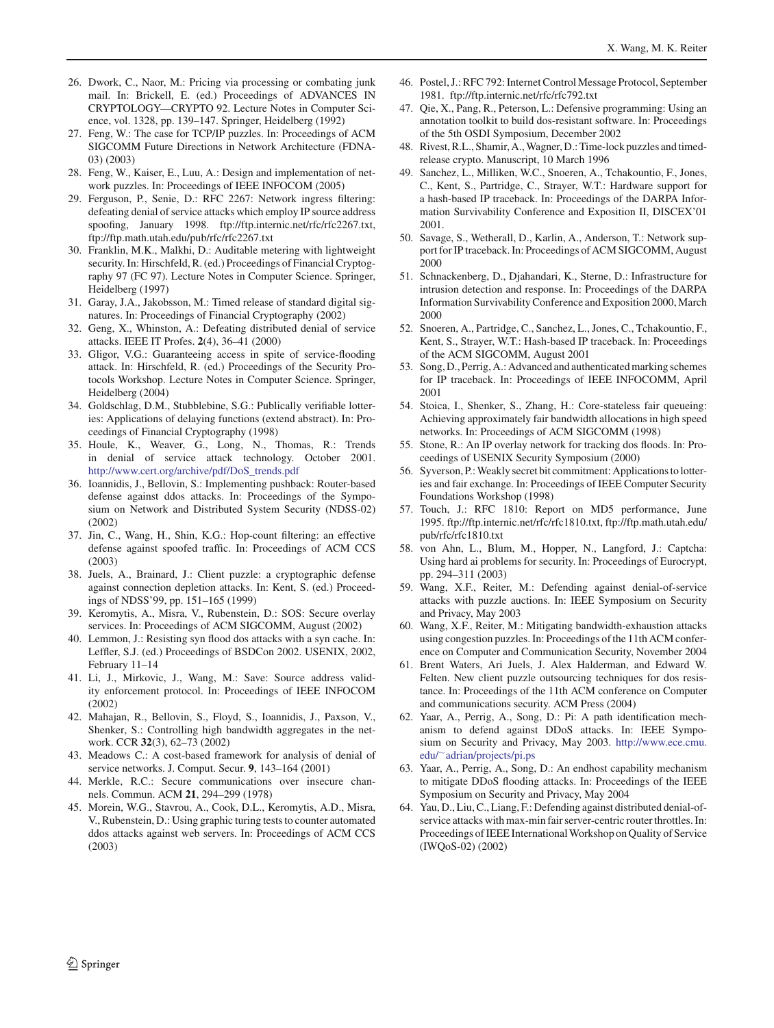- <span id="page-19-23"></span>26. Dwork, C., Naor, M.: Pricing via processing or combating junk mail. In: Brickell, E. (ed.) Proceedings of ADVANCES IN CRYPTOLOGY—CRYPTO 92. Lecture Notes in Computer Science, vol. 1328, pp. 139–147. Springer, Heidelberg (1992)
- <span id="page-19-31"></span>27. Feng, W.: The case for TCP/IP puzzles. In: Proceedings of ACM SIGCOMM Future Directions in Network Architecture (FDNA-03) (2003)
- <span id="page-19-32"></span>28. Feng, W., Kaiser, E., Luu, A.: Design and implementation of network puzzles. In: Proceedings of IEEE INFOCOM (2005)
- <span id="page-19-14"></span>29. Ferguson, P., Senie, D.: RFC 2267: Network ingress filtering: defeating denial of service attacks which employ IP source address spoofing, January 1998. ftp://ftp.internic.net/rfc/rfc2267.txt, ftp://ftp.math.utah.edu/pub/rfc/rfc2267.txt
- <span id="page-19-25"></span>30. Franklin, M.K., Malkhi, D.: Auditable metering with lightweight security. In: Hirschfeld, R. (ed.) Proceedings of Financial Cryptography 97 (FC 97). Lecture Notes in Computer Science. Springer, Heidelberg (1997)
- <span id="page-19-28"></span>31. Garay, J.A., Jakobsson, M.: Timed release of standard digital signatures. In: Proceedings of Financial Cryptography (2002)
- <span id="page-19-21"></span>32. Geng, X., Whinston, A.: Defeating distributed denial of service attacks. IEEE IT Profes. **2**(4), 36–41 (2000)
- <span id="page-19-9"></span>33. Gligor, V.G.: Guaranteeing access in spite of service-flooding attack. In: Hirschfeld, R. (ed.) Proceedings of the Security Protocols Workshop. Lecture Notes in Computer Science. Springer, Heidelberg (2004)
- <span id="page-19-26"></span>34. Goldschlag, D.M., Stubblebine, S.G.: Publically verifiable lotteries: Applications of delaying functions (extend abstract). In: Proceedings of Financial Cryptography (1998)
- <span id="page-19-0"></span>35. Houle, K., Weaver, G., Long, N., Thomas, R.: Trends in denial of service attack technology. October 2001. [http://www.cert.org/archive/pdf/DoS\\_trends.pdf](http://www.cert.org/archive/pdf/DoS_trends.pdf)
- <span id="page-19-4"></span>36. Ioannidis, J., Bellovin, S.: Implementing pushback: Router-based defense against ddos attacks. In: Proceedings of the Symposium on Network and Distributed System Security (NDSS-02) (2002)
- <span id="page-19-15"></span>37. Jin, C., Wang, H., Shin, K.G.: Hop-count filtering: an effective defense against spoofed traffic. In: Proceedings of ACM CCS (2003)
- <span id="page-19-1"></span>38. Juels, A., Brainard, J.: Client puzzle: a cryptographic defense against connection depletion attacks. In: Kent, S. (ed.) Proceedings of NDSS'99, pp. 151–165 (1999)
- <span id="page-19-7"></span>39. Keromytis, A., Misra, V., Rubenstein, D.: SOS: Secure overlay services. In: Proceedings of ACM SIGCOMM, August (2002)
- <span id="page-19-2"></span>40. Lemmon, J.: Resisting syn flood dos attacks with a syn cache. In: Leffler, S.J. (ed.) Proceedings of BSDCon 2002. USENIX, 2002, February 11–14
- <span id="page-19-16"></span>41. Li, J., Mirkovic, J., Wang, M.: Save: Source address validity enforcement protocol. In: Proceedings of IEEE INFOCOM (2002)
- <span id="page-19-5"></span>42. Mahajan, R., Bellovin, S., Floyd, S., Ioannidis, J., Paxson, V., Shenker, S.: Controlling high bandwidth aggregates in the network. CCR **32**(3), 62–73 (2002)
- <span id="page-19-3"></span>43. Meadows C.: A cost-based framework for analysis of denial of service networks. J. Comput. Secur. **9**, 143–164 (2001)
- <span id="page-19-22"></span>44. Merkle, R.C.: Secure communications over insecure channels. Commun. ACM **21**, 294–299 (1978)
- <span id="page-19-8"></span>45. Morein, W.G., Stavrou, A., Cook, D.L., Keromytis, A.D., Misra, V., Rubenstein, D.: Using graphic turing tests to counter automated ddos attacks against web servers. In: Proceedings of ACM CCS (2003)
- <span id="page-19-35"></span>46. Postel, J.: RFC 792: Internet Control Message Protocol, September 1981. ftp://ftp.internic.net/rfc/rfc792.txt
- <span id="page-19-34"></span>47. Qie, X., Pang, R., Peterson, L.: Defensive programming: Using an annotation toolkit to build dos-resistant software. In: Proceedings of the 5th OSDI Symposium, December 2002
- <span id="page-19-24"></span>48. Rivest, R.L., Shamir, A., Wagner, D.: Time-lock puzzles and timedrelease crypto. Manuscript, 10 March 1996
- <span id="page-19-38"></span>49. Sanchez, L., Milliken, W.C., Snoeren, A., Tchakountio, F., Jones, C., Kent, S., Partridge, C., Strayer, W.T.: Hardware support for a hash-based IP traceback. In: Proceedings of the DARPA Information Survivability Conference and Exposition II, DISCEX'01 2001.
- <span id="page-19-11"></span>50. Savage, S., Wetherall, D., Karlin, A., Anderson, T.: Network support for IP traceback. In: Proceedings of ACM SIGCOMM, August 2000
- <span id="page-19-17"></span>51. Schnackenberg, D., Djahandari, K., Sterne, D.: Infrastructure for intrusion detection and response. In: Proceedings of the DARPA Information Survivability Conference and Exposition 2000, March 2000
- <span id="page-19-12"></span>52. Snoeren, A., Partridge, C., Sanchez, L., Jones, C., Tchakountio, F., Kent, S., Strayer, W.T.: Hash-based IP traceback. In: Proceedings of the ACM SIGCOMM, August 2001
- <span id="page-19-13"></span>53. Song, D., Perrig, A.: Advanced and authenticated marking schemes for IP traceback. In: Proceedings of IEEE INFOCOMM, April 2001
- <span id="page-19-36"></span>54. Stoica, I., Shenker, S., Zhang, H.: Core-stateless fair queueing: Achieving approximately fair bandwidth allocations in high speed networks. In: Proceedings of ACM SIGCOMM (1998)
- <span id="page-19-18"></span>55. Stone, R.: An IP overlay network for tracking dos floods. In: Proceedings of USENIX Security Symposium (2000)
- <span id="page-19-27"></span>56. Syverson, P.: Weakly secret bit commitment: Applications to lotteries and fair exchange. In: Proceedings of IEEE Computer Security Foundations Workshop (1998)
- <span id="page-19-37"></span>57. Touch, J.: RFC 1810: Report on MD5 performance, June 1995. ftp://ftp.internic.net/rfc/rfc1810.txt, ftp://ftp.math.utah.edu/ pub/rfc/rfc1810.txt
- <span id="page-19-20"></span>58. von Ahn, L., Blum, M., Hopper, N., Langford, J.: Captcha: Using hard ai problems for security. In: Proceedings of Eurocrypt, pp. 294–311 (2003)
- <span id="page-19-33"></span>59. Wang, X.F., Reiter, M.: Defending against denial-of-service attacks with puzzle auctions. In: IEEE Symposium on Security and Privacy, May 2003
- <span id="page-19-30"></span>60. Wang, X.F., Reiter, M.: Mitigating bandwidth-exhaustion attacks using congestion puzzles. In: Proceedings of the 11th ACM conference on Computer and Communication Security, November 2004
- <span id="page-19-29"></span>61. Brent Waters, Ari Juels, J. Alex Halderman, and Edward W. Felten. New client puzzle outsourcing techniques for dos resistance. In: Proceedings of the 11th ACM conference on Computer and communications security. ACM Press (2004)
- <span id="page-19-19"></span>62. Yaar, A., Perrig, A., Song, D.: Pi: A path identification mechanism to defend against DDoS attacks. In: IEEE Symposium on Security and Privacy, May 2003. http://www.ece.cmu. edu/∼adrian/projects/pi.ps
- <span id="page-19-10"></span>63. Yaar, A., Perrig, A., Song, D.: An endhost capability mechanism to mitigate DDoS flooding attacks. In: Proceedings of the IEEE Symposium on Security and Privacy, May 2004
- <span id="page-19-6"></span>64. Yau, D., Liu, C., Liang, F.: Defending against distributed denial-ofservice attacks with max-min fair server-centric router throttles. In: Proceedings of IEEE International Workshop on Quality of Service (IWQoS-02) (2002)